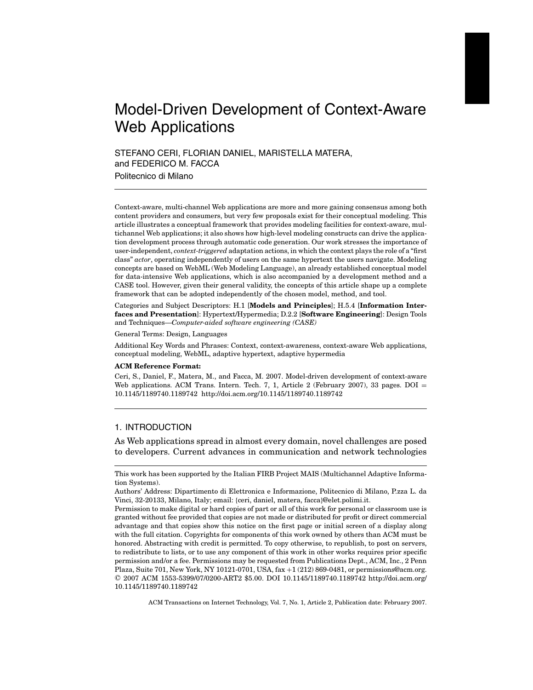STEFANO CERI, FLORIAN DANIEL, MARISTELLA MATERA, and FEDERICO M. FACCA

Politecnico di Milano

Context-aware, multi-channel Web applications are more and more gaining consensus among both content providers and consumers, but very few proposals exist for their conceptual modeling. This article illustrates a conceptual framework that provides modeling facilities for context-aware, multichannel Web applications; it also shows how high-level modeling constructs can drive the application development process through automatic code generation. Our work stresses the importance of user-independent, *context-triggered* adaptation actions, in which the context plays the role of a "first class" *actor*, operating independently of users on the same hypertext the users navigate. Modeling concepts are based on WebML (Web Modeling Language), an already established conceptual model for data-intensive Web applications, which is also accompanied by a development method and a CASE tool. However, given their general validity, the concepts of this article shape up a complete framework that can be adopted independently of the chosen model, method, and tool.

Categories and Subject Descriptors: H.1 [**Models and Principles**]; H.5.4 [**Information Interfaces and Presentation**]: Hypertext/Hypermedia; D.2.2 [**Software Engineering**]: Design Tools and Techniques—*Computer-aided software engineering (CASE)*

General Terms: Design, Languages

Additional Key Words and Phrases: Context, context-awareness, context-aware Web applications, conceptual modeling, WebML, adaptive hypertext, adaptive hypermedia

### **ACM Reference Format:**

Ceri, S., Daniel, F., Matera, M., and Facca, M. 2007. Model-driven development of context-aware Web applications. ACM Trans. Intern. Tech. 7, 1, Article 2 (February 2007), 33 pages. DOI  $=$ 10.1145/1189740.1189742 http://doi.acm.org/10.1145/1189740.1189742

## 1. INTRODUCTION

As Web applications spread in almost every domain, novel challenges are posed to developers. Current advances in communication and network technologies

This work has been supported by the Italian FIRB Project MAIS (Multichannel Adaptive Information Systems).

Authors' Address: Dipartimento di Elettronica e Informazione, Politecnico di Milano, P.zza L. da Vinci, 32-20133, Milano, Italy; email: {ceri, daniel, matera, facca}@elet.polimi.it.

Permission to make digital or hard copies of part or all of this work for personal or classroom use is granted without fee provided that copies are not made or distributed for profit or direct commercial advantage and that copies show this notice on the first page or initial screen of a display along with the full citation. Copyrights for components of this work owned by others than ACM must be honored. Abstracting with credit is permitted. To copy otherwise, to republish, to post on servers, to redistribute to lists, or to use any component of this work in other works requires prior specific permission and/or a fee. Permissions may be requested from Publications Dept., ACM, Inc., 2 Penn Plaza, Suite 701, New York, NY 10121-0701, USA, fax +1 (212) 869-0481, or permissions@acm.org. © 2007 ACM 1553-5399/07/0200-ART2 \$5.00. DOI 10.1145/1189740.1189742 http://doi.acm.org/ 10.1145/1189740.1189742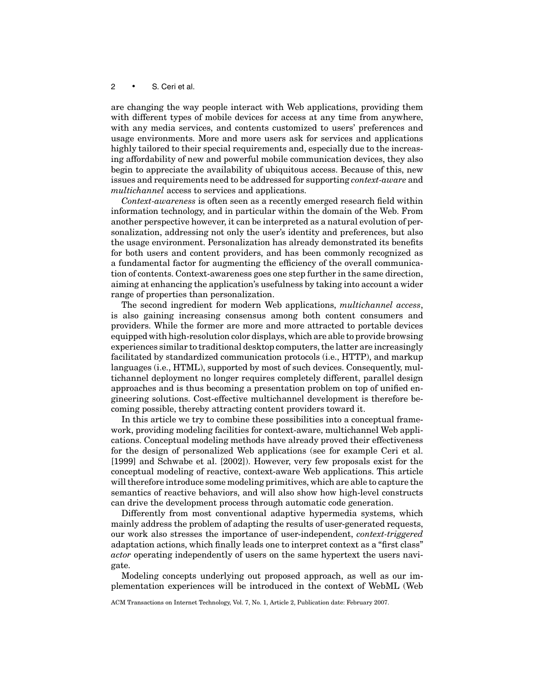are changing the way people interact with Web applications, providing them with different types of mobile devices for access at any time from anywhere, with any media services, and contents customized to users' preferences and usage environments. More and more users ask for services and applications highly tailored to their special requirements and, especially due to the increasing affordability of new and powerful mobile communication devices, they also begin to appreciate the availability of ubiquitous access. Because of this, new issues and requirements need to be addressed for supporting *context-aware* and *multichannel* access to services and applications.

*Context-awareness* is often seen as a recently emerged research field within information technology, and in particular within the domain of the Web. From another perspective however, it can be interpreted as a natural evolution of personalization, addressing not only the user's identity and preferences, but also the usage environment. Personalization has already demonstrated its benefits for both users and content providers, and has been commonly recognized as a fundamental factor for augmenting the efficiency of the overall communication of contents. Context-awareness goes one step further in the same direction, aiming at enhancing the application's usefulness by taking into account a wider range of properties than personalization.

The second ingredient for modern Web applications, *multichannel access*, is also gaining increasing consensus among both content consumers and providers. While the former are more and more attracted to portable devices equipped with high-resolution color displays, which are able to provide browsing experiences similar to traditional desktop computers, the latter are increasingly facilitated by standardized communication protocols (i.e., HTTP), and markup languages (i.e., HTML), supported by most of such devices. Consequently, multichannel deployment no longer requires completely different, parallel design approaches and is thus becoming a presentation problem on top of unified engineering solutions. Cost-effective multichannel development is therefore becoming possible, thereby attracting content providers toward it.

In this article we try to combine these possibilities into a conceptual framework, providing modeling facilities for context-aware, multichannel Web applications. Conceptual modeling methods have already proved their effectiveness for the design of personalized Web applications (see for example Ceri et al. [1999] and Schwabe et al. [2002]). However, very few proposals exist for the conceptual modeling of reactive, context-aware Web applications. This article will therefore introduce some modeling primitives, which are able to capture the semantics of reactive behaviors, and will also show how high-level constructs can drive the development process through automatic code generation.

Differently from most conventional adaptive hypermedia systems, which mainly address the problem of adapting the results of user-generated requests, our work also stresses the importance of user-independent, *context-triggered* adaptation actions, which finally leads one to interpret context as a "first class" *actor* operating independently of users on the same hypertext the users navigate.

Modeling concepts underlying out proposed approach, as well as our implementation experiences will be introduced in the context of WebML (Web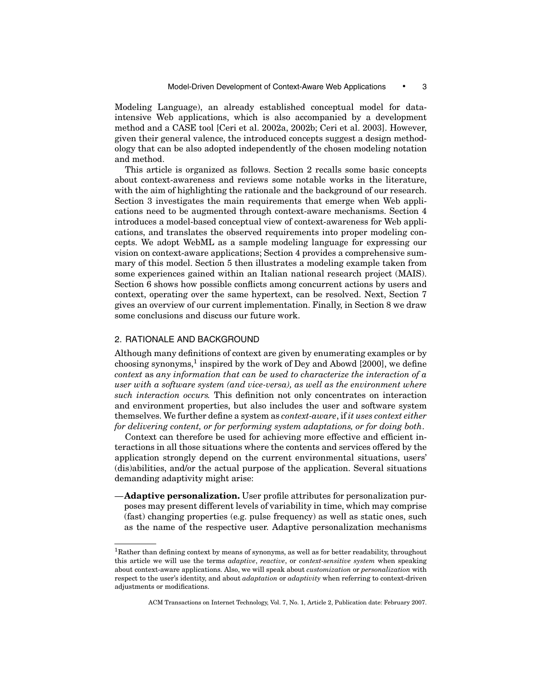Modeling Language), an already established conceptual model for dataintensive Web applications, which is also accompanied by a development method and a CASE tool [Ceri et al. 2002a, 2002b; Ceri et al. 2003]. However, given their general valence, the introduced concepts suggest a design methodology that can be also adopted independently of the chosen modeling notation and method.

This article is organized as follows. Section 2 recalls some basic concepts about context-awareness and reviews some notable works in the literature, with the aim of highlighting the rationale and the background of our research. Section 3 investigates the main requirements that emerge when Web applications need to be augmented through context-aware mechanisms. Section 4 introduces a model-based conceptual view of context-awareness for Web applications, and translates the observed requirements into proper modeling concepts. We adopt WebML as a sample modeling language for expressing our vision on context-aware applications; Section 4 provides a comprehensive summary of this model. Section 5 then illustrates a modeling example taken from some experiences gained within an Italian national research project (MAIS). Section 6 shows how possible conflicts among concurrent actions by users and context, operating over the same hypertext, can be resolved. Next, Section 7 gives an overview of our current implementation. Finally, in Section 8 we draw some conclusions and discuss our future work.

# 2. RATIONALE AND BACKGROUND

Although many definitions of context are given by enumerating examples or by choosing synonyms,<sup>1</sup> inspired by the work of Dey and Abowd  $[2000]$ , we define *context* as *any information that can be used to characterize the interaction of a user with a software system (and vice-versa), as well as the environment where such interaction occurs.* This definition not only concentrates on interaction and environment properties, but also includes the user and software system themselves. We further define a system as *context-aware*, if *it uses context either for delivering content, or for performing system adaptations, or for doing both*.

Context can therefore be used for achieving more effective and efficient interactions in all those situations where the contents and services offered by the application strongly depend on the current environmental situations, users' (dis)abilities, and/or the actual purpose of the application. Several situations demanding adaptivity might arise:

—**Adaptive personalization.** User profile attributes for personalization purposes may present different levels of variability in time, which may comprise (fast) changing properties (e.g. pulse frequency) as well as static ones, such as the name of the respective user. Adaptive personalization mechanisms

<sup>&</sup>lt;sup>1</sup>Rather than defining context by means of synonyms, as well as for better readability, throughout this article we will use the terms *adaptive*, *reactive*, or *context-sensitive system* when speaking about context-aware applications. Also, we will speak about *customization* or *personalization* with respect to the user's identity, and about *adaptation* or *adaptivity* when referring to context-driven adjustments or modifications.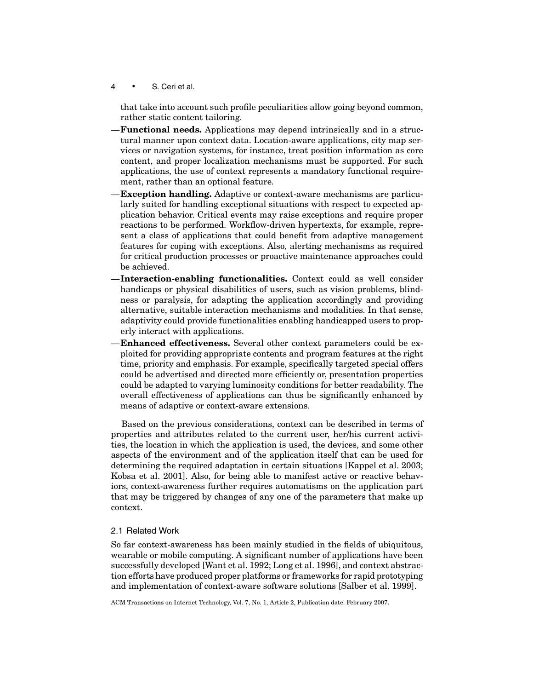that take into account such profile peculiarities allow going beyond common, rather static content tailoring.

- —**Functional needs.** Applications may depend intrinsically and in a structural manner upon context data. Location-aware applications, city map services or navigation systems, for instance, treat position information as core content, and proper localization mechanisms must be supported. For such applications, the use of context represents a mandatory functional requirement, rather than an optional feature.
- —**Exception handling.** Adaptive or context-aware mechanisms are particularly suited for handling exceptional situations with respect to expected application behavior. Critical events may raise exceptions and require proper reactions to be performed. Workflow-driven hypertexts, for example, represent a class of applications that could benefit from adaptive management features for coping with exceptions. Also, alerting mechanisms as required for critical production processes or proactive maintenance approaches could be achieved.
- —**Interaction-enabling functionalities.** Context could as well consider handicaps or physical disabilities of users, such as vision problems, blindness or paralysis, for adapting the application accordingly and providing alternative, suitable interaction mechanisms and modalities. In that sense, adaptivity could provide functionalities enabling handicapped users to properly interact with applications.
- —**Enhanced effectiveness.** Several other context parameters could be exploited for providing appropriate contents and program features at the right time, priority and emphasis. For example, specifically targeted special offers could be advertised and directed more efficiently or, presentation properties could be adapted to varying luminosity conditions for better readability. The overall effectiveness of applications can thus be significantly enhanced by means of adaptive or context-aware extensions.

Based on the previous considerations, context can be described in terms of properties and attributes related to the current user, her/his current activities, the location in which the application is used, the devices, and some other aspects of the environment and of the application itself that can be used for determining the required adaptation in certain situations [Kappel et al. 2003; Kobsa et al. 2001]. Also, for being able to manifest active or reactive behaviors, context-awareness further requires automatisms on the application part that may be triggered by changes of any one of the parameters that make up context.

### 2.1 Related Work

So far context-awareness has been mainly studied in the fields of ubiquitous, wearable or mobile computing. A significant number of applications have been successfully developed [Want et al. 1992; Long et al. 1996], and context abstraction efforts have produced proper platforms or frameworks for rapid prototyping and implementation of context-aware software solutions [Salber et al. 1999].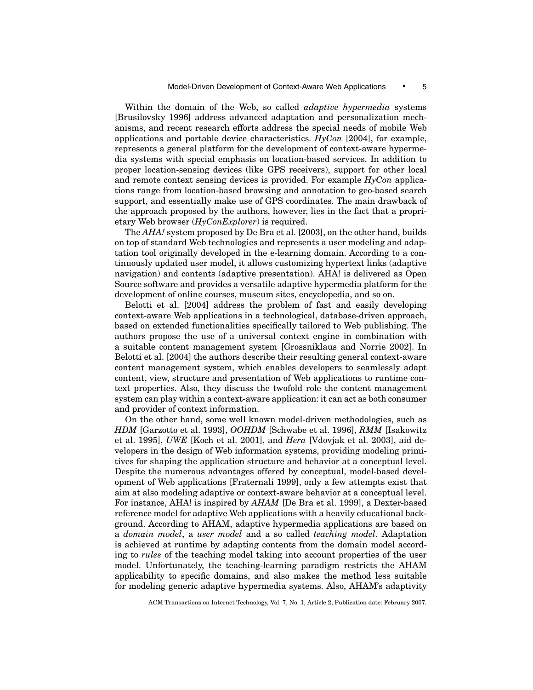Within the domain of the Web, so called *adaptive hypermedia* systems [Brusilovsky 1996] address advanced adaptation and personalization mechanisms, and recent research efforts address the special needs of mobile Web applications and portable device characteristics. *HyCon* [2004], for example, represents a general platform for the development of context-aware hypermedia systems with special emphasis on location-based services. In addition to proper location-sensing devices (like GPS receivers), support for other local and remote context sensing devices is provided. For example *HyCon* applications range from location-based browsing and annotation to geo-based search support, and essentially make use of GPS coordinates. The main drawback of the approach proposed by the authors, however, lies in the fact that a proprietary Web browser (*HyConExplorer*) is required.

The *AHA!* system proposed by De Bra et al. [2003], on the other hand, builds on top of standard Web technologies and represents a user modeling and adaptation tool originally developed in the e-learning domain. According to a continuously updated user model, it allows customizing hypertext links (adaptive navigation) and contents (adaptive presentation). AHA! is delivered as Open Source software and provides a versatile adaptive hypermedia platform for the development of online courses, museum sites, encyclopedia, and so on.

Belotti et al. [2004] address the problem of fast and easily developing context-aware Web applications in a technological, database-driven approach, based on extended functionalities specifically tailored to Web publishing. The authors propose the use of a universal context engine in combination with a suitable content management system [Grossniklaus and Norrie 2002]. In Belotti et al. [2004] the authors describe their resulting general context-aware content management system, which enables developers to seamlessly adapt content, view, structure and presentation of Web applications to runtime context properties. Also, they discuss the twofold role the content management system can play within a context-aware application: it can act as both consumer and provider of context information.

On the other hand, some well known model-driven methodologies, such as *HDM* [Garzotto et al. 1993], *OOHDM* [Schwabe et al. 1996], *RMM* [Isakowitz et al. 1995], *UWE* [Koch et al. 2001], and *Hera* [Vdovjak et al. 2003], aid developers in the design of Web information systems, providing modeling primitives for shaping the application structure and behavior at a conceptual level. Despite the numerous advantages offered by conceptual, model-based development of Web applications [Fraternali 1999], only a few attempts exist that aim at also modeling adaptive or context-aware behavior at a conceptual level. For instance, AHA! is inspired by *AHAM* [De Bra et al. 1999], a Dexter-based reference model for adaptive Web applications with a heavily educational background. According to AHAM, adaptive hypermedia applications are based on a *domain model*, a *user model* and a so called *teaching model*. Adaptation is achieved at runtime by adapting contents from the domain model according to *rules* of the teaching model taking into account properties of the user model. Unfortunately, the teaching-learning paradigm restricts the AHAM applicability to specific domains, and also makes the method less suitable for modeling generic adaptive hypermedia systems. Also, AHAM's adaptivity

ACM Transactions on Internet Technology, Vol. 7, No. 1, Article 2, Publication date: February 2007.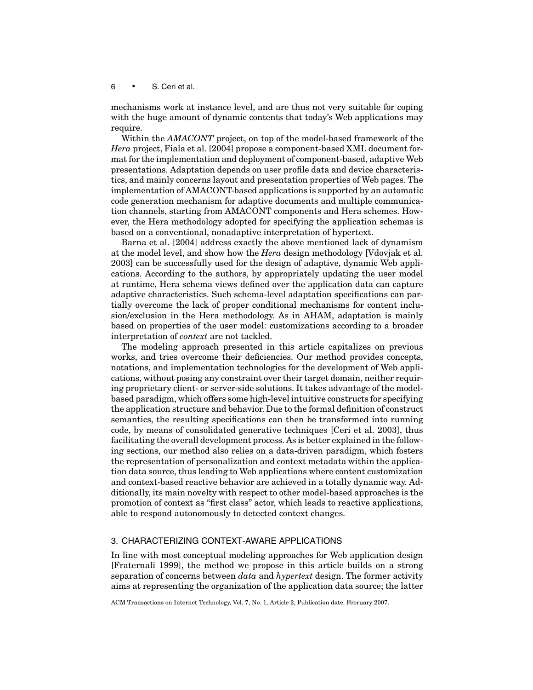mechanisms work at instance level, and are thus not very suitable for coping with the huge amount of dynamic contents that today's Web applications may require.

Within the *AMACONT* project, on top of the model-based framework of the *Hera* project, Fiala et al. [2004] propose a component-based XML document format for the implementation and deployment of component-based, adaptive Web presentations. Adaptation depends on user profile data and device characteristics, and mainly concerns layout and presentation properties of Web pages. The implementation of AMACONT-based applications is supported by an automatic code generation mechanism for adaptive documents and multiple communication channels, starting from AMACONT components and Hera schemes. However, the Hera methodology adopted for specifying the application schemas is based on a conventional, nonadaptive interpretation of hypertext.

Barna et al. [2004] address exactly the above mentioned lack of dynamism at the model level, and show how the *Hera* design methodology [Vdovjak et al. 2003] can be successfully used for the design of adaptive, dynamic Web applications. According to the authors, by appropriately updating the user model at runtime, Hera schema views defined over the application data can capture adaptive characteristics. Such schema-level adaptation specifications can partially overcome the lack of proper conditional mechanisms for content inclusion/exclusion in the Hera methodology. As in AHAM, adaptation is mainly based on properties of the user model: customizations according to a broader interpretation of *context* are not tackled.

The modeling approach presented in this article capitalizes on previous works, and tries overcome their deficiencies. Our method provides concepts, notations, and implementation technologies for the development of Web applications, without posing any constraint over their target domain, neither requiring proprietary client- or server-side solutions. It takes advantage of the modelbased paradigm, which offers some high-level intuitive constructs for specifying the application structure and behavior. Due to the formal definition of construct semantics, the resulting specifications can then be transformed into running code, by means of consolidated generative techniques [Ceri et al. 2003], thus facilitating the overall development process. As is better explained in the following sections, our method also relies on a data-driven paradigm, which fosters the representation of personalization and context metadata within the application data source, thus leading to Web applications where content customization and context-based reactive behavior are achieved in a totally dynamic way. Additionally, its main novelty with respect to other model-based approaches is the promotion of context as "first class" actor, which leads to reactive applications, able to respond autonomously to detected context changes.

# 3. CHARACTERIZING CONTEXT-AWARE APPLICATIONS

In line with most conceptual modeling approaches for Web application design [Fraternali 1999], the method we propose in this article builds on a strong separation of concerns between *data* and *hypertext* design. The former activity aims at representing the organization of the application data source; the latter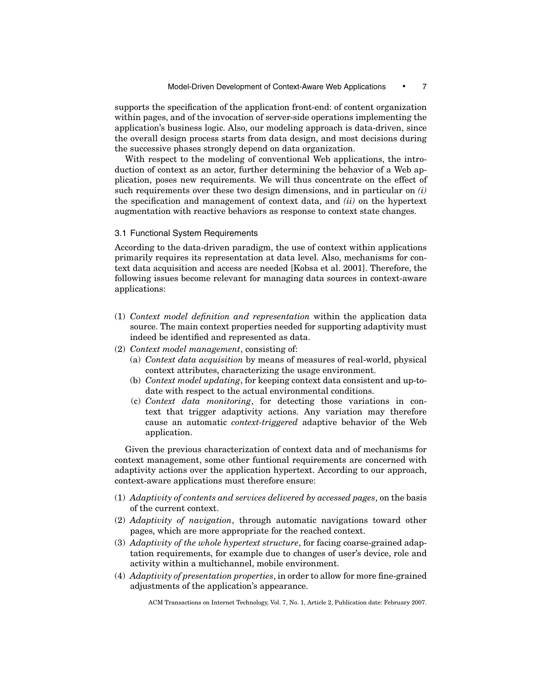supports the specification of the application front-end: of content organization within pages, and of the invocation of server-side operations implementing the application's business logic. Also, our modeling approach is data-driven, since the overall design process starts from data design, and most decisions during the successive phases strongly depend on data organization.

With respect to the modeling of conventional Web applications, the introduction of context as an actor, further determining the behavior of a Web application, poses new requirements. We will thus concentrate on the effect of such requirements over these two design dimensions, and in particular on *(i)* the specification and management of context data, and *(ii)* on the hypertext augmentation with reactive behaviors as response to context state changes.

## 3.1 Functional System Requirements

According to the data-driven paradigm, the use of context within applications primarily requires its representation at data level. Also, mechanisms for context data acquisition and access are needed [Kobsa et al. 2001]. Therefore, the following issues become relevant for managing data sources in context-aware applications:

- (1) *Context model definition and representation* within the application data source. The main context properties needed for supporting adaptivity must indeed be identified and represented as data.
- (2) *Context model management*, consisting of:
	- (a) *Context data acquisition* by means of measures of real-world, physical context attributes, characterizing the usage environment.
	- (b) *Context model updating*, for keeping context data consistent and up-todate with respect to the actual environmental conditions.
	- (c) *Context data monitoring*, for detecting those variations in context that trigger adaptivity actions. Any variation may therefore cause an automatic *context-triggered* adaptive behavior of the Web application.

Given the previous characterization of context data and of mechanisms for context management, some other funtional requirements are concerned with adaptivity actions over the application hypertext. According to our approach, context-aware applications must therefore ensure:

- (1) *Adaptivity of contents and services delivered by accessed pages*, on the basis of the current context.
- (2) *Adaptivity of navigation*, through automatic navigations toward other pages, which are more appropriate for the reached context.
- (3) *Adaptivity of the whole hypertext structure*, for facing coarse-grained adaptation requirements, for example due to changes of user's device, role and activity within a multichannel, mobile environment.
- (4) *Adaptivity of presentation properties*, in order to allow for more fine-grained adjustments of the application's appearance.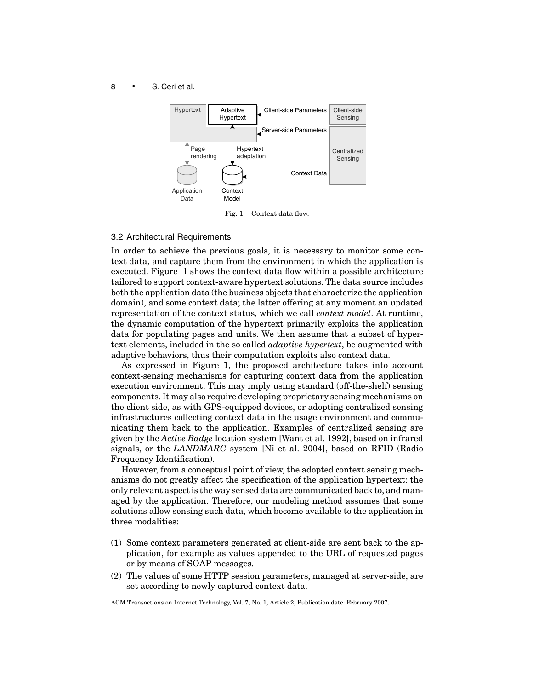

Fig. 1. Context data flow.

## 3.2 Architectural Requirements

In order to achieve the previous goals, it is necessary to monitor some context data, and capture them from the environment in which the application is executed. Figure 1 shows the context data flow within a possible architecture tailored to support context-aware hypertext solutions. The data source includes both the application data (the business objects that characterize the application domain), and some context data; the latter offering at any moment an updated representation of the context status, which we call *context model*. At runtime, the dynamic computation of the hypertext primarily exploits the application data for populating pages and units. We then assume that a subset of hypertext elements, included in the so called *adaptive hypertext*, be augmented with adaptive behaviors, thus their computation exploits also context data.

As expressed in Figure 1, the proposed architecture takes into account context-sensing mechanisms for capturing context data from the application execution environment. This may imply using standard (off-the-shelf) sensing components. It may also require developing proprietary sensing mechanisms on the client side, as with GPS-equipped devices, or adopting centralized sensing infrastructures collecting context data in the usage environment and communicating them back to the application. Examples of centralized sensing are given by the *Active Badge* location system [Want et al. 1992], based on infrared signals, or the *LANDMARC* system [Ni et al. 2004], based on RFID (Radio Frequency Identification).

However, from a conceptual point of view, the adopted context sensing mechanisms do not greatly affect the specification of the application hypertext: the only relevant aspect is the way sensed data are communicated back to, and managed by the application. Therefore, our modeling method assumes that some solutions allow sensing such data, which become available to the application in three modalities:

- (1) Some context parameters generated at client-side are sent back to the application, for example as values appended to the URL of requested pages or by means of SOAP messages.
- (2) The values of some HTTP session parameters, managed at server-side, are set according to newly captured context data.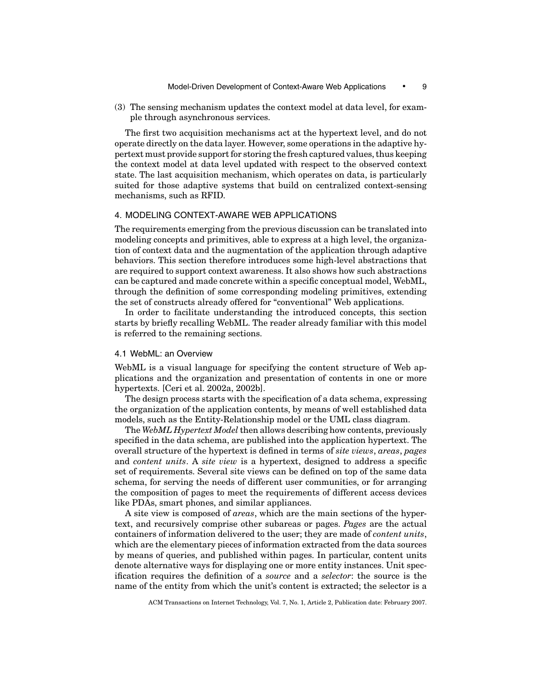(3) The sensing mechanism updates the context model at data level, for example through asynchronous services.

The first two acquisition mechanisms act at the hypertext level, and do not operate directly on the data layer. However, some operations in the adaptive hypertext must provide support for storing the fresh captured values, thus keeping the context model at data level updated with respect to the observed context state. The last acquisition mechanism, which operates on data, is particularly suited for those adaptive systems that build on centralized context-sensing mechanisms, such as RFID.

# 4. MODELING CONTEXT-AWARE WEB APPLICATIONS

The requirements emerging from the previous discussion can be translated into modeling concepts and primitives, able to express at a high level, the organization of context data and the augmentation of the application through adaptive behaviors. This section therefore introduces some high-level abstractions that are required to support context awareness. It also shows how such abstractions can be captured and made concrete within a specific conceptual model, WebML, through the definition of some corresponding modeling primitives, extending the set of constructs already offered for "conventional" Web applications.

In order to facilitate understanding the introduced concepts, this section starts by briefly recalling WebML. The reader already familiar with this model is referred to the remaining sections.

## 4.1 WebML: an Overview

WebML is a visual language for specifying the content structure of Web applications and the organization and presentation of contents in one or more hypertexts. [Ceri et al. 2002a, 2002b].

The design process starts with the specification of a data schema, expressing the organization of the application contents, by means of well established data models, such as the Entity-Relationship model or the UML class diagram.

The *WebML Hypertext Model*then allows describing how contents, previously specified in the data schema, are published into the application hypertext. The overall structure of the hypertext is defined in terms of *site views*, *areas*, *pages* and *content units*. A *site view* is a hypertext, designed to address a specific set of requirements. Several site views can be defined on top of the same data schema, for serving the needs of different user communities, or for arranging the composition of pages to meet the requirements of different access devices like PDAs, smart phones, and similar appliances.

A site view is composed of *areas*, which are the main sections of the hypertext, and recursively comprise other subareas or pages. *Pages* are the actual containers of information delivered to the user; they are made of *content units*, which are the elementary pieces of information extracted from the data sources by means of queries, and published within pages. In particular, content units denote alternative ways for displaying one or more entity instances. Unit specification requires the definition of a *source* and a *selector*: the source is the name of the entity from which the unit's content is extracted; the selector is a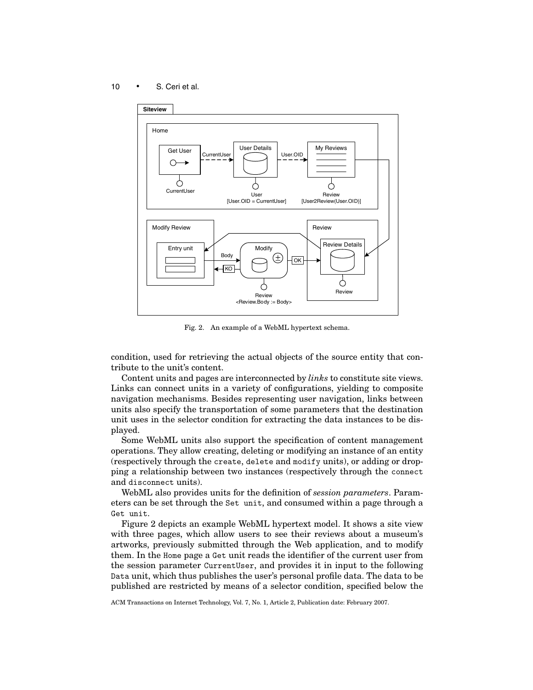

Fig. 2. An example of a WebML hypertext schema.

condition, used for retrieving the actual objects of the source entity that contribute to the unit's content.

Content units and pages are interconnected by *links* to constitute site views. Links can connect units in a variety of configurations, yielding to composite navigation mechanisms. Besides representing user navigation, links between units also specify the transportation of some parameters that the destination unit uses in the selector condition for extracting the data instances to be displayed.

Some WebML units also support the specification of content management operations. They allow creating, deleting or modifying an instance of an entity (respectively through the create, delete and modify units), or adding or dropping a relationship between two instances (respectively through the connect and disconnect units).

WebML also provides units for the definition of *session parameters*. Parameters can be set through the Set unit, and consumed within a page through a Get unit.

Figure 2 depicts an example WebML hypertext model. It shows a site view with three pages, which allow users to see their reviews about a museum's artworks, previously submitted through the Web application, and to modify them. In the Home page a Get unit reads the identifier of the current user from the session parameter CurrentUser, and provides it in input to the following Data unit, which thus publishes the user's personal profile data. The data to be published are restricted by means of a selector condition, specified below the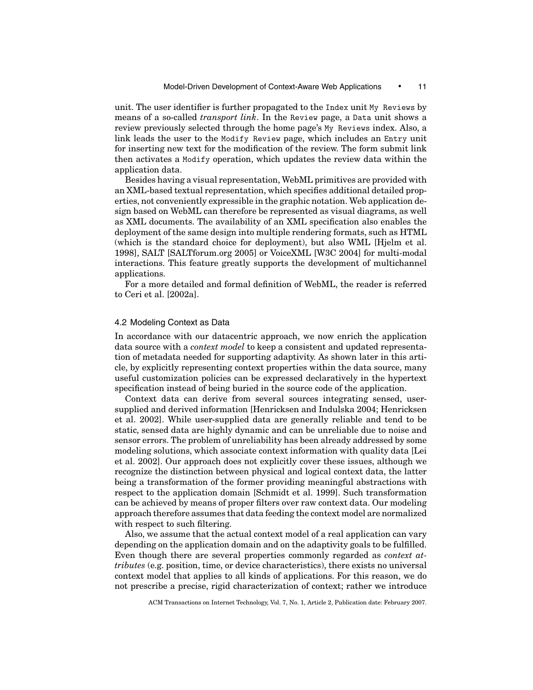unit. The user identifier is further propagated to the Index unit My Reviews by means of a so-called *transport link*. In the Review page, a Data unit shows a review previously selected through the home page's My Reviews index. Also, a link leads the user to the Modify Review page, which includes an Entry unit for inserting new text for the modification of the review. The form submit link then activates a Modify operation, which updates the review data within the application data.

Besides having a visual representation, WebML primitives are provided with an XML-based textual representation, which specifies additional detailed properties, not conveniently expressible in the graphic notation. Web application design based on WebML can therefore be represented as visual diagrams, as well as XML documents. The availability of an XML specification also enables the deployment of the same design into multiple rendering formats, such as HTML (which is the standard choice for deployment), but also WML [Hjelm et al. 1998], SALT [SALTforum.org 2005] or VoiceXML [W3C 2004] for multi-modal interactions. This feature greatly supports the development of multichannel applications.

For a more detailed and formal definition of WebML, the reader is referred to Ceri et al. [2002a].

## 4.2 Modeling Context as Data

In accordance with our datacentric approach, we now enrich the application data source with a *context model* to keep a consistent and updated representation of metadata needed for supporting adaptivity. As shown later in this article, by explicitly representing context properties within the data source, many useful customization policies can be expressed declaratively in the hypertext specification instead of being buried in the source code of the application.

Context data can derive from several sources integrating sensed, usersupplied and derived information [Henricksen and Indulska 2004; Henricksen et al. 2002]. While user-supplied data are generally reliable and tend to be static, sensed data are highly dynamic and can be unreliable due to noise and sensor errors. The problem of unreliability has been already addressed by some modeling solutions, which associate context information with quality data [Lei et al. 2002]. Our approach does not explicitly cover these issues, although we recognize the distinction between physical and logical context data, the latter being a transformation of the former providing meaningful abstractions with respect to the application domain [Schmidt et al. 1999]. Such transformation can be achieved by means of proper filters over raw context data. Our modeling approach therefore assumes that data feeding the context model are normalized with respect to such filtering.

Also, we assume that the actual context model of a real application can vary depending on the application domain and on the adaptivity goals to be fulfilled. Even though there are several properties commonly regarded as *context attributes* (e.g. position, time, or device characteristics), there exists no universal context model that applies to all kinds of applications. For this reason, we do not prescribe a precise, rigid characterization of context; rather we introduce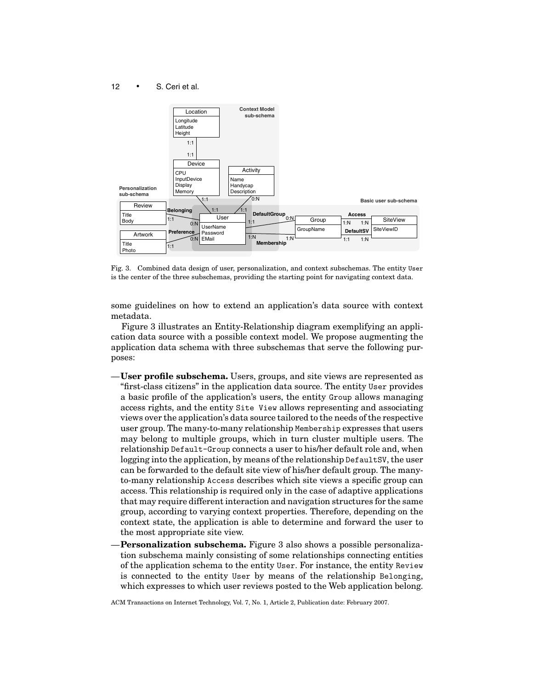

Fig. 3. Combined data design of user, personalization, and context subschemas. The entity User is the center of the three subschemas, providing the starting point for navigating context data.

some guidelines on how to extend an application's data source with context metadata.

Figure 3 illustrates an Entity-Relationship diagram exemplifying an application data source with a possible context model. We propose augmenting the application data schema with three subschemas that serve the following purposes:

- —**User profile subschema.** Users, groups, and site views are represented as "first-class citizens" in the application data source. The entity User provides a basic profile of the application's users, the entity Group allows managing access rights, and the entity Site View allows representing and associating views over the application's data source tailored to the needs of the respective user group. The many-to-many relationship Membership expresses that users may belong to multiple groups, which in turn cluster multiple users. The relationship Default-Group connects a user to his/her default role and, when logging into the application, by means of the relationship DefaultSV, the user can be forwarded to the default site view of his/her default group. The manyto-many relationship Access describes which site views a specific group can access. This relationship is required only in the case of adaptive applications that may require different interaction and navigation structures for the same group, according to varying context properties. Therefore, depending on the context state, the application is able to determine and forward the user to the most appropriate site view.
- —**Personalization subschema.** Figure 3 also shows a possible personalization subschema mainly consisting of some relationships connecting entities of the application schema to the entity User. For instance, the entity Review is connected to the entity User by means of the relationship Belonging, which expresses to which user reviews posted to the Web application belong.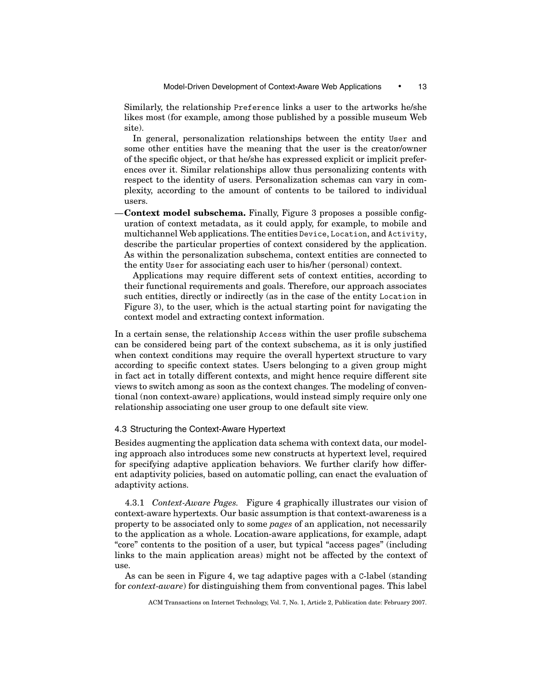Similarly, the relationship Preference links a user to the artworks he/she likes most (for example, among those published by a possible museum Web site).

In general, personalization relationships between the entity User and some other entities have the meaning that the user is the creator/owner of the specific object, or that he/she has expressed explicit or implicit preferences over it. Similar relationships allow thus personalizing contents with respect to the identity of users. Personalization schemas can vary in complexity, according to the amount of contents to be tailored to individual users.

—**Context model subschema.** Finally, Figure 3 proposes a possible configuration of context metadata, as it could apply, for example, to mobile and multichannel Web applications. The entities Device, Location, and Activity, describe the particular properties of context considered by the application. As within the personalization subschema, context entities are connected to the entity User for associating each user to his/her (personal) context.

Applications may require different sets of context entities, according to their functional requirements and goals. Therefore, our approach associates such entities, directly or indirectly (as in the case of the entity Location in Figure 3), to the user, which is the actual starting point for navigating the context model and extracting context information.

In a certain sense, the relationship Access within the user profile subschema can be considered being part of the context subschema, as it is only justified when context conditions may require the overall hypertext structure to vary according to specific context states. Users belonging to a given group might in fact act in totally different contexts, and might hence require different site views to switch among as soon as the context changes. The modeling of conventional (non context-aware) applications, would instead simply require only one relationship associating one user group to one default site view.

## 4.3 Structuring the Context-Aware Hypertext

Besides augmenting the application data schema with context data, our modeling approach also introduces some new constructs at hypertext level, required for specifying adaptive application behaviors. We further clarify how different adaptivity policies, based on automatic polling, can enact the evaluation of adaptivity actions.

4.3.1 *Context-Aware Pages.* Figure 4 graphically illustrates our vision of context-aware hypertexts. Our basic assumption is that context-awareness is a property to be associated only to some *pages* of an application, not necessarily to the application as a whole. Location-aware applications, for example, adapt "core" contents to the position of a user, but typical "access pages" (including links to the main application areas) might not be affected by the context of use.

As can be seen in Figure 4, we tag adaptive pages with a C-label (standing for *context-aware*) for distinguishing them from conventional pages. This label

ACM Transactions on Internet Technology, Vol. 7, No. 1, Article 2, Publication date: February 2007.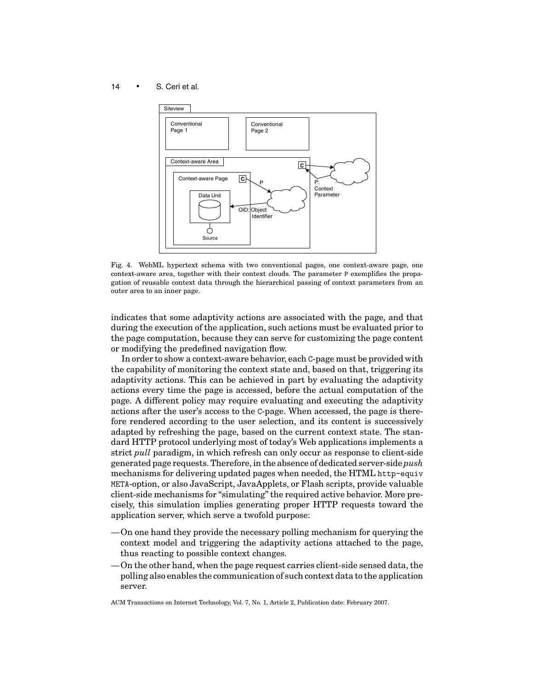

Fig. 4. WebML hypertext schema with two conventional pages, one context-aware page, one context-aware area, together with their context clouds. The parameter P exemplifies the propagation of reusable context data through the hierarchical passing of context parameters from an outer area to an inner page.

indicates that some adaptivity actions are associated with the page, and that during the execution of the application, such actions must be evaluated prior to the page computation, because they can serve for customizing the page content or modifying the predefined navigation flow.

In order to show a context-aware behavior, each C-page must be provided with the capability of monitoring the context state and, based on that, triggering its adaptivity actions. This can be achieved in part by evaluating the adaptivity actions every time the page is accessed, before the actual computation of the page. A different policy may require evaluating and executing the adaptivity actions after the user's access to the C-page. When accessed, the page is therefore rendered according to the user selection, and its content is successively adapted by refreshing the page, based on the current context state. The standard HTTP protocol underlying most of today's Web applications implements a strict *pull* paradigm, in which refresh can only occur as response to client-side generated page requests. Therefore, in the absence of dedicated server-side *push* mechanisms for delivering updated pages when needed, the HTML http-equiv META-option, or also JavaScript, JavaApplets, or Flash scripts, provide valuable client-side mechanisms for "simulating" the required active behavior. More precisely, this simulation implies generating proper HTTP requests toward the application server, which serve a twofold purpose:

- —On one hand they provide the necessary polling mechanism for querying the context model and triggering the adaptivity actions attached to the page, thus reacting to possible context changes.
- —On the other hand, when the page request carries client-side sensed data, the polling also enables the communication of such context data to the application server.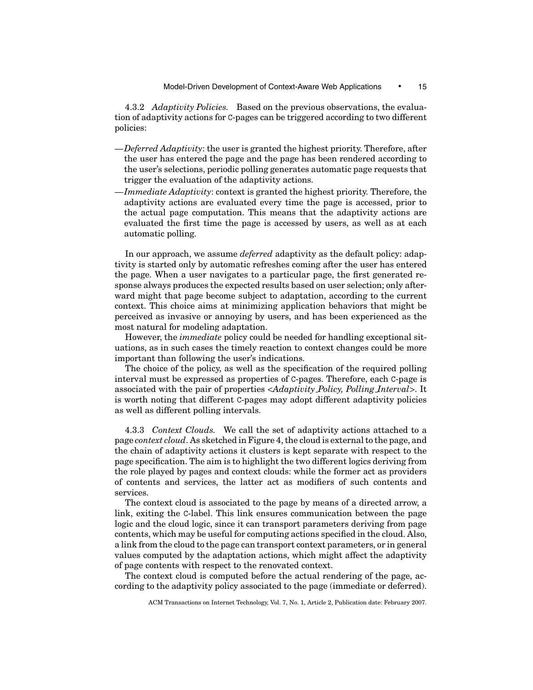4.3.2 *Adaptivity Policies.* Based on the previous observations, the evaluation of adaptivity actions for C-pages can be triggered according to two different policies:

- —*Deferred Adaptivity*: the user is granted the highest priority. Therefore, after the user has entered the page and the page has been rendered according to the user's selections, periodic polling generates automatic page requests that trigger the evaluation of the adaptivity actions.
- —*Immediate Adaptivity*: context is granted the highest priority. Therefore, the adaptivity actions are evaluated every time the page is accessed, prior to the actual page computation. This means that the adaptivity actions are evaluated the first time the page is accessed by users, as well as at each automatic polling.

In our approach, we assume *deferred* adaptivity as the default policy: adaptivity is started only by automatic refreshes coming after the user has entered the page. When a user navigates to a particular page, the first generated response always produces the expected results based on user selection; only afterward might that page become subject to adaptation, according to the current context. This choice aims at minimizing application behaviors that might be perceived as invasive or annoying by users, and has been experienced as the most natural for modeling adaptation.

However, the *immediate* policy could be needed for handling exceptional situations, as in such cases the timely reaction to context changes could be more important than following the user's indications.

The choice of the policy, as well as the specification of the required polling interval must be expressed as properties of C-pages. Therefore, each C-page is associated with the pair of properties *<Adaptivity Policy, Polling Interval>*. It is worth noting that different C-pages may adopt different adaptivity policies as well as different polling intervals.

4.3.3 *Context Clouds.* We call the set of adaptivity actions attached to a page *context cloud*. As sketched in Figure 4, the cloud is external to the page, and the chain of adaptivity actions it clusters is kept separate with respect to the page specification. The aim is to highlight the two different logics deriving from the role played by pages and context clouds: while the former act as providers of contents and services, the latter act as modifiers of such contents and services.

The context cloud is associated to the page by means of a directed arrow, a link, exiting the C-label. This link ensures communication between the page logic and the cloud logic, since it can transport parameters deriving from page contents, which may be useful for computing actions specified in the cloud. Also, a link from the cloud to the page can transport context parameters, or in general values computed by the adaptation actions, which might affect the adaptivity of page contents with respect to the renovated context.

The context cloud is computed before the actual rendering of the page, according to the adaptivity policy associated to the page (immediate or deferred).

ACM Transactions on Internet Technology, Vol. 7, No. 1, Article 2, Publication date: February 2007.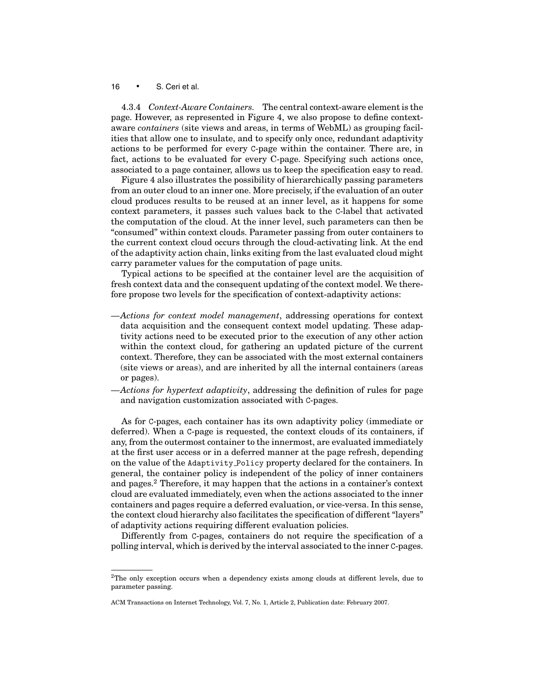4.3.4 *Context-Aware Containers.* The central context-aware element is the page. However, as represented in Figure 4, we also propose to define contextaware *containers* (site views and areas, in terms of WebML) as grouping facilities that allow one to insulate, and to specify only once, redundant adaptivity actions to be performed for every C-page within the container. There are, in fact, actions to be evaluated for every C-page. Specifying such actions once, associated to a page container, allows us to keep the specification easy to read.

Figure 4 also illustrates the possibility of hierarchically passing parameters from an outer cloud to an inner one. More precisely, if the evaluation of an outer cloud produces results to be reused at an inner level, as it happens for some context parameters, it passes such values back to the C-label that activated the computation of the cloud. At the inner level, such parameters can then be "consumed" within context clouds. Parameter passing from outer containers to the current context cloud occurs through the cloud-activating link. At the end of the adaptivity action chain, links exiting from the last evaluated cloud might carry parameter values for the computation of page units.

Typical actions to be specified at the container level are the acquisition of fresh context data and the consequent updating of the context model. We therefore propose two levels for the specification of context-adaptivity actions:

- —*Actions for context model management*, addressing operations for context data acquisition and the consequent context model updating. These adaptivity actions need to be executed prior to the execution of any other action within the context cloud, for gathering an updated picture of the current context. Therefore, they can be associated with the most external containers (site views or areas), and are inherited by all the internal containers (areas or pages).
- —*Actions for hypertext adaptivity*, addressing the definition of rules for page and navigation customization associated with C-pages.

As for C-pages, each container has its own adaptivity policy (immediate or deferred). When a C-page is requested, the context clouds of its containers, if any, from the outermost container to the innermost, are evaluated immediately at the first user access or in a deferred manner at the page refresh, depending on the value of the Adaptivity Policy property declared for the containers. In general, the container policy is independent of the policy of inner containers and pages.2 Therefore, it may happen that the actions in a container's context cloud are evaluated immediately, even when the actions associated to the inner containers and pages require a deferred evaluation, or vice-versa. In this sense, the context cloud hierarchy also facilitates the specification of different "layers" of adaptivity actions requiring different evaluation policies.

Differently from C-pages, containers do not require the specification of a polling interval, which is derived by the interval associated to the inner C-pages.

<sup>&</sup>lt;sup>2</sup>The only exception occurs when a dependency exists among clouds at different levels, due to parameter passing.

ACM Transactions on Internet Technology, Vol. 7, No. 1, Article 2, Publication date: February 2007.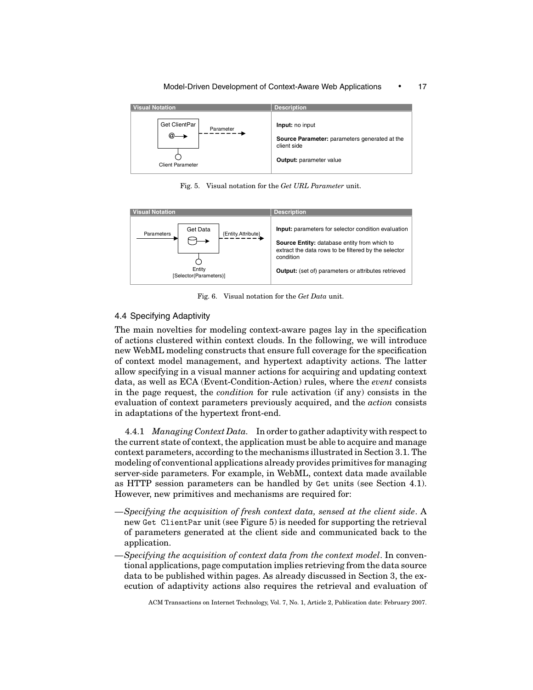#### Model-Driven Development of Context-Aware Web Applications • 17



Fig. 5. Visual notation for the *Get URL Parameter* unit.



Fig. 6. Visual notation for the *Get Data* unit.

# 4.4 Specifying Adaptivity

The main novelties for modeling context-aware pages lay in the specification of actions clustered within context clouds. In the following, we will introduce new WebML modeling constructs that ensure full coverage for the specification of context model management, and hypertext adaptivity actions. The latter allow specifying in a visual manner actions for acquiring and updating context data, as well as ECA (Event-Condition-Action) rules, where the *event* consists in the page request, the *condition* for rule activation (if any) consists in the evaluation of context parameters previously acquired, and the *action* consists in adaptations of the hypertext front-end.

4.4.1 *Managing Context Data.* In order to gather adaptivity with respect to the current state of context, the application must be able to acquire and manage context parameters, according to the mechanisms illustrated in Section 3.1. The modeling of conventional applications already provides primitives for managing server-side parameters. For example, in WebML, context data made available as HTTP session parameters can be handled by Get units (see Section 4.1). However, new primitives and mechanisms are required for:

- —*Specifying the acquisition of fresh context data, sensed at the client side*. A new Get ClientPar unit (see Figure 5) is needed for supporting the retrieval of parameters generated at the client side and communicated back to the application.
- —*Specifying the acquisition of context data from the context model*. In conventional applications, page computation implies retrieving from the data source data to be published within pages. As already discussed in Section 3, the execution of adaptivity actions also requires the retrieval and evaluation of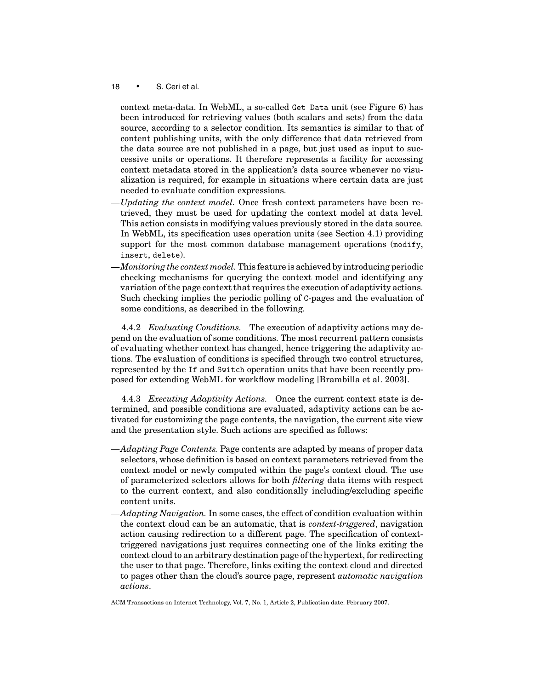context meta-data. In WebML, a so-called Get Data unit (see Figure 6) has been introduced for retrieving values (both scalars and sets) from the data source, according to a selector condition. Its semantics is similar to that of content publishing units, with the only difference that data retrieved from the data source are not published in a page, but just used as input to successive units or operations. It therefore represents a facility for accessing context metadata stored in the application's data source whenever no visualization is required, for example in situations where certain data are just needed to evaluate condition expressions.

- —*Updating the context model.* Once fresh context parameters have been retrieved, they must be used for updating the context model at data level. This action consists in modifying values previously stored in the data source. In WebML, its specification uses operation units (see Section 4.1) providing support for the most common database management operations (modify, insert, delete).
- —*Monitoring the context model.* This feature is achieved by introducing periodic checking mechanisms for querying the context model and identifying any variation of the page context that requires the execution of adaptivity actions. Such checking implies the periodic polling of C-pages and the evaluation of some conditions, as described in the following.

4.4.2 *Evaluating Conditions.* The execution of adaptivity actions may depend on the evaluation of some conditions. The most recurrent pattern consists of evaluating whether context has changed, hence triggering the adaptivity actions. The evaluation of conditions is specified through two control structures, represented by the If and Switch operation units that have been recently proposed for extending WebML for workflow modeling [Brambilla et al. 2003].

4.4.3 *Executing Adaptivity Actions.* Once the current context state is determined, and possible conditions are evaluated, adaptivity actions can be activated for customizing the page contents, the navigation, the current site view and the presentation style. Such actions are specified as follows:

- —*Adapting Page Contents.* Page contents are adapted by means of proper data selectors, whose definition is based on context parameters retrieved from the context model or newly computed within the page's context cloud. The use of parameterized selectors allows for both *filtering* data items with respect to the current context, and also conditionally including/excluding specific content units.
- —*Adapting Navigation.* In some cases, the effect of condition evaluation within the context cloud can be an automatic, that is *context-triggered*, navigation action causing redirection to a different page. The specification of contexttriggered navigations just requires connecting one of the links exiting the context cloud to an arbitrary destination page of the hypertext, for redirecting the user to that page. Therefore, links exiting the context cloud and directed to pages other than the cloud's source page, represent *automatic navigation actions*.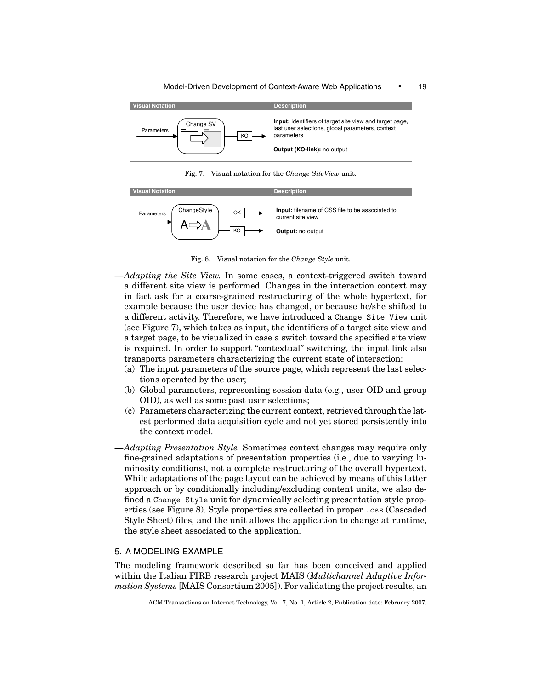#### Model-Driven Development of Context-Aware Web Applications • 19



Fig. 7. Visual notation for the *Change SiteView* unit.



Fig. 8. Visual notation for the *Change Style* unit.

- —*Adapting the Site View.* In some cases, a context-triggered switch toward a different site view is performed. Changes in the interaction context may in fact ask for a coarse-grained restructuring of the whole hypertext, for example because the user device has changed, or because he/she shifted to a different activity. Therefore, we have introduced a Change Site View unit (see Figure 7), which takes as input, the identifiers of a target site view and a target page, to be visualized in case a switch toward the specified site view is required. In order to support "contextual" switching, the input link also transports parameters characterizing the current state of interaction:
	- (a) The input parameters of the source page, which represent the last selections operated by the user;
	- (b) Global parameters, representing session data (e.g., user OID and group OID), as well as some past user selections;
	- (c) Parameters characterizing the current context, retrieved through the latest performed data acquisition cycle and not yet stored persistently into the context model.
- —*Adapting Presentation Style.* Sometimes context changes may require only fine-grained adaptations of presentation properties (i.e., due to varying luminosity conditions), not a complete restructuring of the overall hypertext. While adaptations of the page layout can be achieved by means of this latter approach or by conditionally including/excluding content units, we also defined a Change Style unit for dynamically selecting presentation style properties (see Figure 8). Style properties are collected in proper .css (Cascaded Style Sheet) files, and the unit allows the application to change at runtime, the style sheet associated to the application.

## 5. A MODELING EXAMPLE

The modeling framework described so far has been conceived and applied within the Italian FIRB research project MAIS (*Multichannel Adaptive Information Systems* [MAIS Consortium 2005]). For validating the project results, an

ACM Transactions on Internet Technology, Vol. 7, No. 1, Article 2, Publication date: February 2007.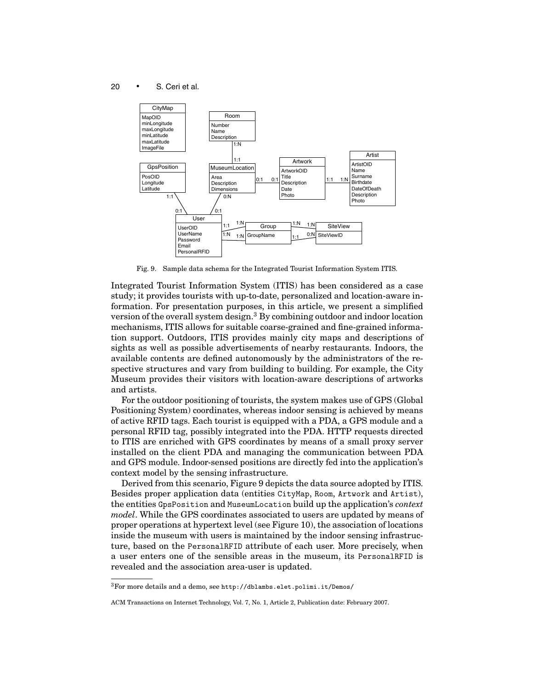

Fig. 9. Sample data schema for the Integrated Tourist Information System ITIS.

Integrated Tourist Information System (ITIS) has been considered as a case study; it provides tourists with up-to-date, personalized and location-aware information. For presentation purposes, in this article, we present a simplified version of the overall system design.<sup>3</sup> By combining outdoor and indoor location mechanisms, ITIS allows for suitable coarse-grained and fine-grained information support. Outdoors, ITIS provides mainly city maps and descriptions of sights as well as possible advertisements of nearby restaurants. Indoors, the available contents are defined autonomously by the administrators of the respective structures and vary from building to building. For example, the City Museum provides their visitors with location-aware descriptions of artworks and artists.

For the outdoor positioning of tourists, the system makes use of GPS (Global Positioning System) coordinates, whereas indoor sensing is achieved by means of active RFID tags. Each tourist is equipped with a PDA, a GPS module and a personal RFID tag, possibly integrated into the PDA. HTTP requests directed to ITIS are enriched with GPS coordinates by means of a small proxy server installed on the client PDA and managing the communication between PDA and GPS module. Indoor-sensed positions are directly fed into the application's context model by the sensing infrastructure.

Derived from this scenario, Figure 9 depicts the data source adopted by ITIS. Besides proper application data (entities CityMap, Room, Artwork and Artist), the entities GpsPosition and MuseumLocation build up the application's *context model*. While the GPS coordinates associated to users are updated by means of proper operations at hypertext level (see Figure 10), the association of locations inside the museum with users is maintained by the indoor sensing infrastructure, based on the PersonalRFID attribute of each user. More precisely, when a user enters one of the sensible areas in the museum, its PersonalRFID is revealed and the association area-user is updated.

 $3$ For more details and a demo, see http://dblambs.elet.polimi.it/Demos/

ACM Transactions on Internet Technology, Vol. 7, No. 1, Article 2, Publication date: February 2007.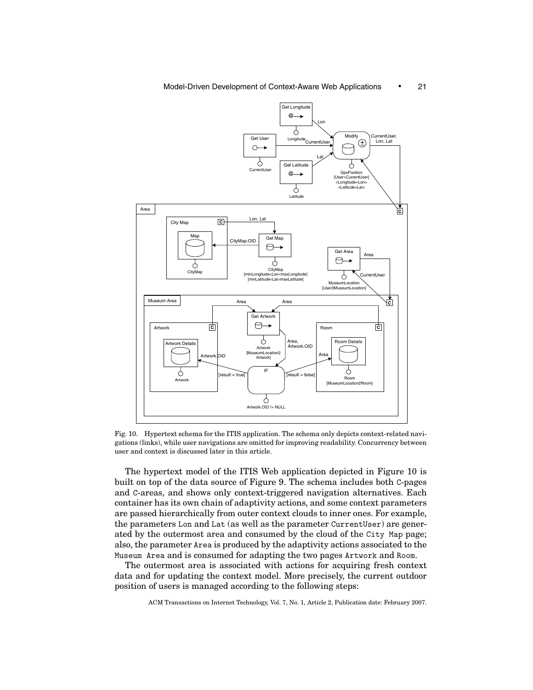

Fig. 10. Hypertext schema for the ITIS application. The schema only depicts context-related navigations (links), while user navigations are omitted for improving readability. Concurrency between user and context is discussed later in this article.

The hypertext model of the ITIS Web application depicted in Figure 10 is built on top of the data source of Figure 9. The schema includes both C-pages and C-areas, and shows only context-triggered navigation alternatives. Each container has its own chain of adaptivity actions, and some context parameters are passed hierarchically from outer context clouds to inner ones. For example, the parameters Lon and Lat (as well as the parameter CurrentUser) are generated by the outermost area and consumed by the cloud of the City Map page; also, the parameter Area is produced by the adaptivity actions associated to the Museum Area and is consumed for adapting the two pages Artwork and Room.

The outermost area is associated with actions for acquiring fresh context data and for updating the context model. More precisely, the current outdoor position of users is managed according to the following steps: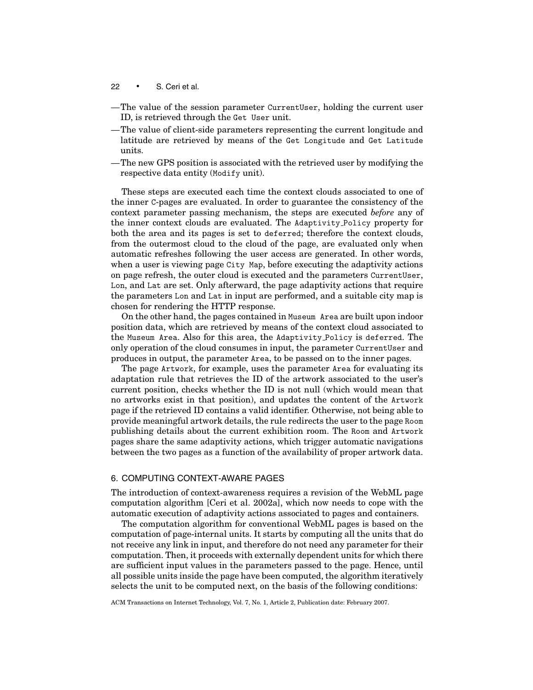- —The value of the session parameter CurrentUser, holding the current user ID, is retrieved through the Get User unit.
- —The value of client-side parameters representing the current longitude and latitude are retrieved by means of the Get Longitude and Get Latitude units.
- —The new GPS position is associated with the retrieved user by modifying the respective data entity (Modify unit).

These steps are executed each time the context clouds associated to one of the inner C-pages are evaluated. In order to guarantee the consistency of the context parameter passing mechanism, the steps are executed *before* any of the inner context clouds are evaluated. The Adaptivity Policy property for both the area and its pages is set to deferred; therefore the context clouds, from the outermost cloud to the cloud of the page, are evaluated only when automatic refreshes following the user access are generated. In other words, when a user is viewing page City Map, before executing the adaptivity actions on page refresh, the outer cloud is executed and the parameters CurrentUser, Lon, and Lat are set. Only afterward, the page adaptivity actions that require the parameters Lon and Lat in input are performed, and a suitable city map is chosen for rendering the HTTP response.

On the other hand, the pages contained in Museum Area are built upon indoor position data, which are retrieved by means of the context cloud associated to the Museum Area. Also for this area, the Adaptivity Policy is deferred. The only operation of the cloud consumes in input, the parameter CurrentUser and produces in output, the parameter Area, to be passed on to the inner pages.

The page Artwork, for example, uses the parameter Area for evaluating its adaptation rule that retrieves the ID of the artwork associated to the user's current position, checks whether the ID is not null (which would mean that no artworks exist in that position), and updates the content of the Artwork page if the retrieved ID contains a valid identifier. Otherwise, not being able to provide meaningful artwork details, the rule redirects the user to the page Room publishing details about the current exhibition room. The Room and Artwork pages share the same adaptivity actions, which trigger automatic navigations between the two pages as a function of the availability of proper artwork data.

# 6. COMPUTING CONTEXT-AWARE PAGES

The introduction of context-awareness requires a revision of the WebML page computation algorithm [Ceri et al. 2002a], which now needs to cope with the automatic execution of adaptivity actions associated to pages and containers.

The computation algorithm for conventional WebML pages is based on the computation of page-internal units. It starts by computing all the units that do not receive any link in input, and therefore do not need any parameter for their computation. Then, it proceeds with externally dependent units for which there are sufficient input values in the parameters passed to the page. Hence, until all possible units inside the page have been computed, the algorithm iteratively selects the unit to be computed next, on the basis of the following conditions: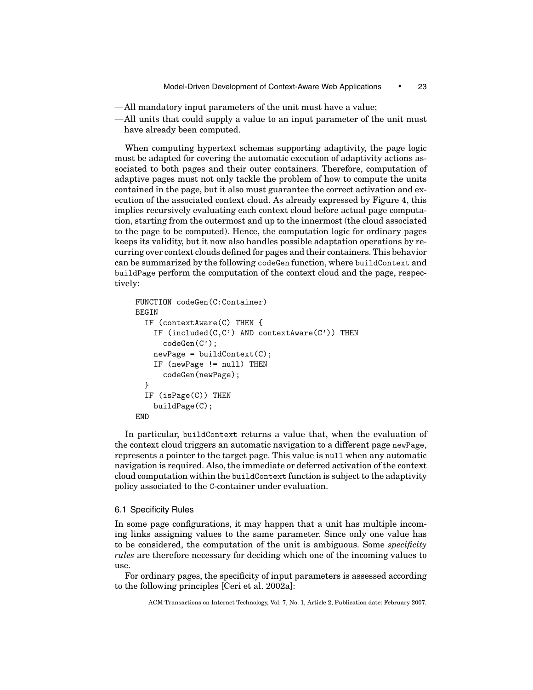- —All mandatory input parameters of the unit must have a value;
- —All units that could supply a value to an input parameter of the unit must have already been computed.

When computing hypertext schemas supporting adaptivity, the page logic must be adapted for covering the automatic execution of adaptivity actions associated to both pages and their outer containers. Therefore, computation of adaptive pages must not only tackle the problem of how to compute the units contained in the page, but it also must guarantee the correct activation and execution of the associated context cloud. As already expressed by Figure 4, this implies recursively evaluating each context cloud before actual page computation, starting from the outermost and up to the innermost (the cloud associated to the page to be computed). Hence, the computation logic for ordinary pages keeps its validity, but it now also handles possible adaptation operations by recurring over context clouds defined for pages and their containers. This behavior can be summarized by the following codeGen function, where buildContext and buildPage perform the computation of the context cloud and the page, respectively:

```
FUNCTION codeGen(C:Container)
BEGIN
 IF (contextAware(C) THEN {
    IF (included(C, C') AND contextAware(C')) THEN
      codeGen(C');
    newPage = buildContext(C);IF (newPage != null) THEN
      codeGen(newPage);
 }
 IF (isPage(C)) THEN
    buildPage(C);
END
```
In particular, buildContext returns a value that, when the evaluation of the context cloud triggers an automatic navigation to a different page newPage, represents a pointer to the target page. This value is null when any automatic navigation is required. Also, the immediate or deferred activation of the context cloud computation within the buildContext function is subject to the adaptivity policy associated to the C-container under evaluation.

## 6.1 Specificity Rules

In some page configurations, it may happen that a unit has multiple incoming links assigning values to the same parameter. Since only one value has to be considered, the computation of the unit is ambiguous. Some *specificity rules* are therefore necessary for deciding which one of the incoming values to use.

For ordinary pages, the specificity of input parameters is assessed according to the following principles [Ceri et al. 2002a]: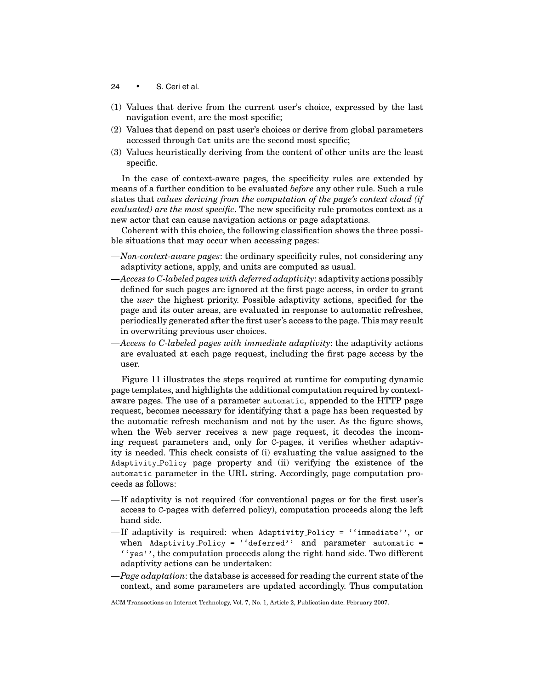- 24 S. Ceri et al.
- (1) Values that derive from the current user's choice, expressed by the last navigation event, are the most specific;
- (2) Values that depend on past user's choices or derive from global parameters accessed through Get units are the second most specific;
- (3) Values heuristically deriving from the content of other units are the least specific.

In the case of context-aware pages, the specificity rules are extended by means of a further condition to be evaluated *before* any other rule. Such a rule states that *values deriving from the computation of the page's context cloud (if evaluated) are the most specific*. The new specificity rule promotes context as a new actor that can cause navigation actions or page adaptations.

Coherent with this choice, the following classification shows the three possible situations that may occur when accessing pages:

- —*Non-context-aware pages*: the ordinary specificity rules, not considering any adaptivity actions, apply, and units are computed as usual.
- —*Access to C-labeled pages with deferred adaptivity*: adaptivity actions possibly defined for such pages are ignored at the first page access, in order to grant the *user* the highest priority. Possible adaptivity actions, specified for the page and its outer areas, are evaluated in response to automatic refreshes, periodically generated after the first user's access to the page. This may result in overwriting previous user choices.
- —*Access to C-labeled pages with immediate adaptivity*: the adaptivity actions are evaluated at each page request, including the first page access by the user.

Figure 11 illustrates the steps required at runtime for computing dynamic page templates, and highlights the additional computation required by contextaware pages. The use of a parameter automatic, appended to the HTTP page request, becomes necessary for identifying that a page has been requested by the automatic refresh mechanism and not by the user. As the figure shows, when the Web server receives a new page request, it decodes the incoming request parameters and, only for C-pages, it verifies whether adaptivity is needed. This check consists of (i) evaluating the value assigned to the Adaptivity Policy page property and (ii) verifying the existence of the automatic parameter in the URL string. Accordingly, page computation proceeds as follows:

- —If adaptivity is not required (for conventional pages or for the first user's access to C-pages with deferred policy), computation proceeds along the left hand side.
- —If adaptivity is required: when Adaptivity Policy = ''immediate'', or when Adaptivity\_Policy =  $'$  deferred'' and parameter automatic = ''yes'', the computation proceeds along the right hand side. Two different adaptivity actions can be undertaken:
- —*Page adaptation*: the database is accessed for reading the current state of the context, and some parameters are updated accordingly. Thus computation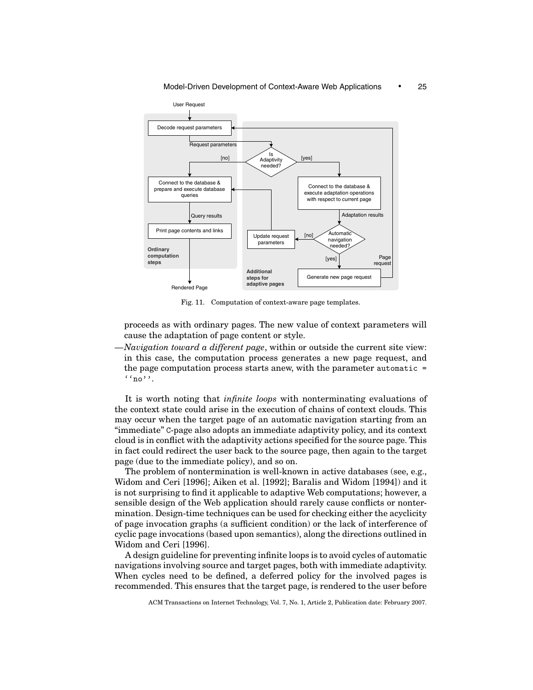

Fig. 11. Computation of context-aware page templates.

proceeds as with ordinary pages. The new value of context parameters will cause the adaptation of page content or style.

—*Navigation toward a different page*, within or outside the current site view: in this case, the computation process generates a new page request, and the page computation process starts anew, with the parameter automatic  $=$  $\cdots$ no''.

It is worth noting that *infinite loops* with nonterminating evaluations of the context state could arise in the execution of chains of context clouds. This may occur when the target page of an automatic navigation starting from an "immediate" C-page also adopts an immediate adaptivity policy, and its context cloud is in conflict with the adaptivity actions specified for the source page. This in fact could redirect the user back to the source page, then again to the target page (due to the immediate policy), and so on.

The problem of nontermination is well-known in active databases (see, e.g., Widom and Ceri [1996]; Aiken et al. [1992]; Baralis and Widom [1994]) and it is not surprising to find it applicable to adaptive Web computations; however, a sensible design of the Web application should rarely cause conflicts or nontermination. Design-time techniques can be used for checking either the acyclicity of page invocation graphs (a sufficient condition) or the lack of interference of cyclic page invocations (based upon semantics), along the directions outlined in Widom and Ceri [1996].

A design guideline for preventing infinite loops is to avoid cycles of automatic navigations involving source and target pages, both with immediate adaptivity. When cycles need to be defined, a deferred policy for the involved pages is recommended. This ensures that the target page, is rendered to the user before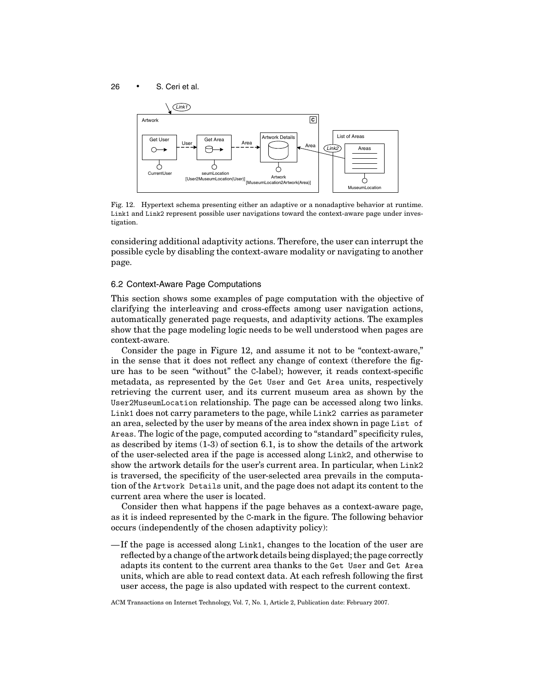

Fig. 12. Hypertext schema presenting either an adaptive or a nonadaptive behavior at runtime. Link1 and Link2 represent possible user navigations toward the context-aware page under investigation.

considering additional adaptivity actions. Therefore, the user can interrupt the possible cycle by disabling the context-aware modality or navigating to another page.

### 6.2 Context-Aware Page Computations

This section shows some examples of page computation with the objective of clarifying the interleaving and cross-effects among user navigation actions, automatically generated page requests, and adaptivity actions. The examples show that the page modeling logic needs to be well understood when pages are context-aware.

Consider the page in Figure 12, and assume it not to be "context-aware," in the sense that it does not reflect any change of context (therefore the figure has to be seen "without" the C-label); however, it reads context-specific metadata, as represented by the Get User and Get Area units, respectively retrieving the current user, and its current museum area as shown by the User2MuseumLocation relationship. The page can be accessed along two links. Link1 does not carry parameters to the page, while Link2 carries as parameter an area, selected by the user by means of the area index shown in page List of Areas. The logic of the page, computed according to "standard" specificity rules, as described by items (1-3) of section 6.1, is to show the details of the artwork of the user-selected area if the page is accessed along Link2, and otherwise to show the artwork details for the user's current area. In particular, when Link2 is traversed, the specificity of the user-selected area prevails in the computation of the Artwork Details unit, and the page does not adapt its content to the current area where the user is located.

Consider then what happens if the page behaves as a context-aware page, as it is indeed represented by the C-mark in the figure. The following behavior occurs (independently of the chosen adaptivity policy):

—If the page is accessed along Link1, changes to the location of the user are reflected by a change of the artwork details being displayed; the page correctly adapts its content to the current area thanks to the Get User and Get Area units, which are able to read context data. At each refresh following the first user access, the page is also updated with respect to the current context.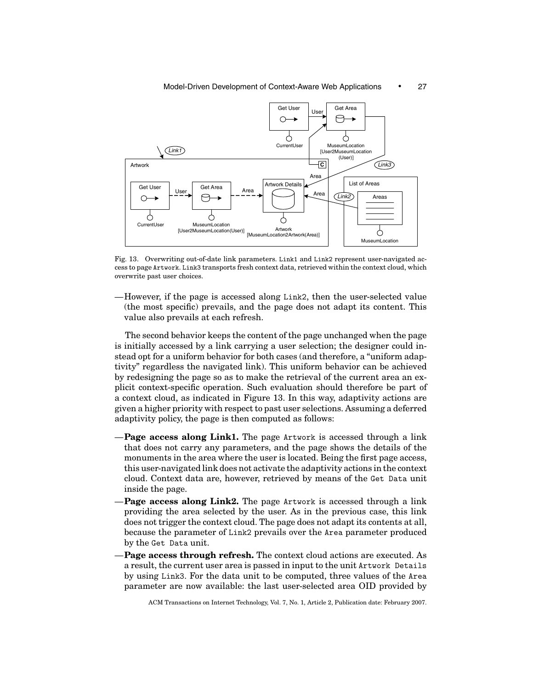### Model-Driven Development of Context-Aware Web Applications • 27



Fig. 13. Overwriting out-of-date link parameters. Link1 and Link2 represent user-navigated access to page Artwork. Link3 transports fresh context data, retrieved within the context cloud, which overwrite past user choices.

—However, if the page is accessed along Link2, then the user-selected value (the most specific) prevails, and the page does not adapt its content. This value also prevails at each refresh.

The second behavior keeps the content of the page unchanged when the page is initially accessed by a link carrying a user selection; the designer could instead opt for a uniform behavior for both cases (and therefore, a "uniform adaptivity" regardless the navigated link). This uniform behavior can be achieved by redesigning the page so as to make the retrieval of the current area an explicit context-specific operation. Such evaluation should therefore be part of a context cloud, as indicated in Figure 13. In this way, adaptivity actions are given a higher priority with respect to past user selections. Assuming a deferred adaptivity policy, the page is then computed as follows:

- —**Page access along Link1.** The page Artwork is accessed through a link that does not carry any parameters, and the page shows the details of the monuments in the area where the user is located. Being the first page access, this user-navigated link does not activate the adaptivity actions in the context cloud. Context data are, however, retrieved by means of the Get Data unit inside the page.
- —**Page access along Link2.** The page Artwork is accessed through a link providing the area selected by the user. As in the previous case, this link does not trigger the context cloud. The page does not adapt its contents at all, because the parameter of Link2 prevails over the Area parameter produced by the Get Data unit.
- —**Page access through refresh.** The context cloud actions are executed. As a result, the current user area is passed in input to the unit Artwork Details by using Link3. For the data unit to be computed, three values of the Area parameter are now available: the last user-selected area OID provided by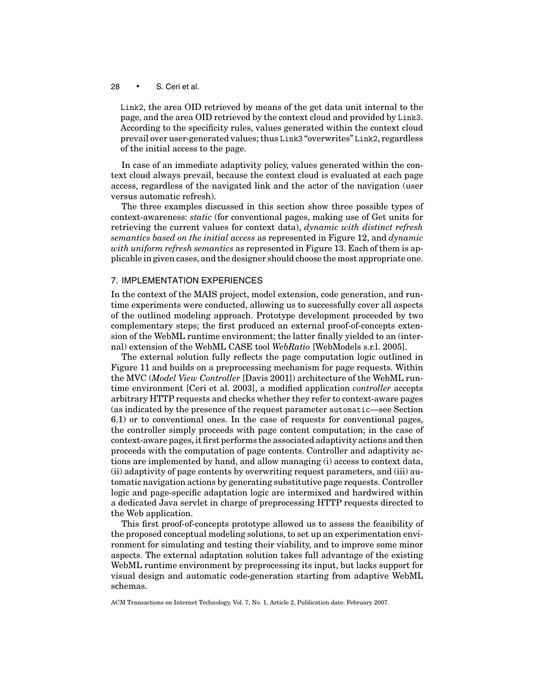Link2, the area OID retrieved by means of the get data unit internal to the page, and the area OID retrieved by the context cloud and provided by Link3. According to the specificity rules, values generated within the context cloud prevail over user-generated values; thus Link3 "overwrites" Link2, regardless of the initial access to the page.

In case of an immediate adaptivity policy, values generated within the context cloud always prevail, because the context cloud is evaluated at each page access, regardless of the navigated link and the actor of the navigation (user versus automatic refresh).

The three examples discussed in this section show three possible types of context-awareness: *static* (for conventional pages, making use of Get units for retrieving the current values for context data), *dynamic with distinct refresh semantics based on the initial access* as represented in Figure 12, and *dynamic with uniform refresh semantics* as represented in Figure 13. Each of them is applicable in given cases, and the designer should choose the most appropriate one.

## 7. IMPLEMENTATION EXPERIENCES

In the context of the MAIS project, model extension, code generation, and runtime experiments were conducted, allowing us to successfully cover all aspects of the outlined modeling approach. Prototype development proceeded by two complementary steps; the first produced an external proof-of-concepts extension of the WebML runtime environment; the latter finally yielded to an (internal) extension of the WebML CASE tool *WebRatio* [WebModels s.r.l. 2005].

The external solution fully reflects the page computation logic outlined in Figure 11 and builds on a preprocessing mechanism for page requests. Within the MVC (*Model View Controller* [Davis 2001]) architecture of the WebML runtime environment [Ceri et al. 2003], a modified application *controller* accepts arbitrary HTTP requests and checks whether they refer to context-aware pages (as indicated by the presence of the request parameter automatic—see Section 6.1) or to conventional ones. In the case of requests for conventional pages, the controller simply proceeds with page content computation; in the case of context-aware pages, it first performs the associated adaptivity actions and then proceeds with the computation of page contents. Controller and adaptivity actions are implemented by hand, and allow managing (i) access to context data, (ii) adaptivity of page contents by overwriting request parameters, and (iii) automatic navigation actions by generating substitutive page requests. Controller logic and page-specific adaptation logic are intermixed and hardwired within a dedicated Java servlet in charge of preprocessing HTTP requests directed to the Web application.

This first proof-of-concepts prototype allowed us to assess the feasibility of the proposed conceptual modeling solutions, to set up an experimentation environment for simulating and testing their viability, and to improve some minor aspects. The external adaptation solution takes full advantage of the existing WebML runtime environment by preprocessing its input, but lacks support for visual design and automatic code-generation starting from adaptive WebML schemas.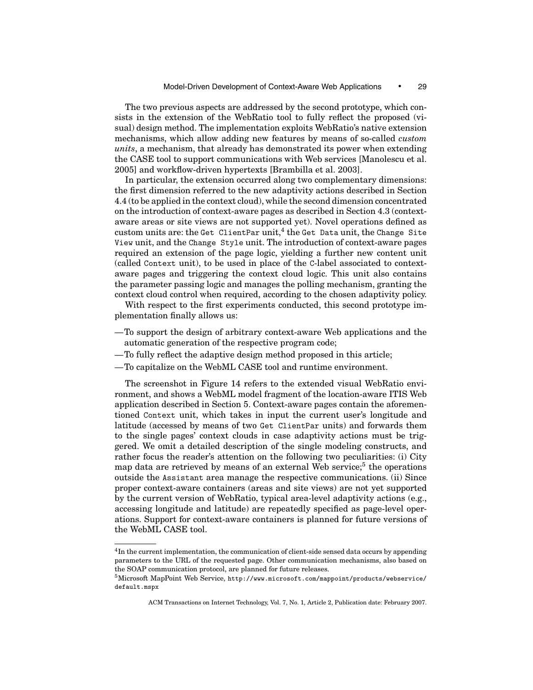The two previous aspects are addressed by the second prototype, which consists in the extension of the WebRatio tool to fully reflect the proposed (visual) design method. The implementation exploits WebRatio's native extension mechanisms, which allow adding new features by means of so-called *custom units*, a mechanism, that already has demonstrated its power when extending the CASE tool to support communications with Web services [Manolescu et al. 2005] and workflow-driven hypertexts [Brambilla et al. 2003].

In particular, the extension occurred along two complementary dimensions: the first dimension referred to the new adaptivity actions described in Section 4.4 (to be applied in the context cloud), while the second dimension concentrated on the introduction of context-aware pages as described in Section 4.3 (contextaware areas or site views are not supported yet). Novel operations defined as custom units are: the Get ClientPar unit,<sup>4</sup> the Get Data unit, the Change Site View unit, and the Change Style unit. The introduction of context-aware pages required an extension of the page logic, yielding a further new content unit (called Context unit), to be used in place of the C-label associated to contextaware pages and triggering the context cloud logic. This unit also contains the parameter passing logic and manages the polling mechanism, granting the context cloud control when required, according to the chosen adaptivity policy.

With respect to the first experiments conducted, this second prototype implementation finally allows us:

- —To support the design of arbitrary context-aware Web applications and the automatic generation of the respective program code;
- —To fully reflect the adaptive design method proposed in this article;
- —To capitalize on the WebML CASE tool and runtime environment.

The screenshot in Figure 14 refers to the extended visual WebRatio environment, and shows a WebML model fragment of the location-aware ITIS Web application described in Section 5. Context-aware pages contain the aforementioned Context unit, which takes in input the current user's longitude and latitude (accessed by means of two Get ClientPar units) and forwards them to the single pages' context clouds in case adaptivity actions must be triggered. We omit a detailed description of the single modeling constructs, and rather focus the reader's attention on the following two peculiarities: (i) City map data are retrieved by means of an external Web service;<sup>5</sup> the operations outside the Assistant area manage the respective communications. (ii) Since proper context-aware containers (areas and site views) are not yet supported by the current version of WebRatio, typical area-level adaptivity actions (e.g., accessing longitude and latitude) are repeatedly specified as page-level operations. Support for context-aware containers is planned for future versions of the WebML CASE tool.

<sup>4</sup>In the current implementation, the communication of client-side sensed data occurs by appending parameters to the URL of the requested page. Other communication mechanisms, also based on the SOAP communication protocol, are planned for future releases.

<sup>5</sup>Microsoft MapPoint Web Service, http://www.microsoft.com/mappoint/products/webservice/ default.mspx

ACM Transactions on Internet Technology, Vol. 7, No. 1, Article 2, Publication date: February 2007.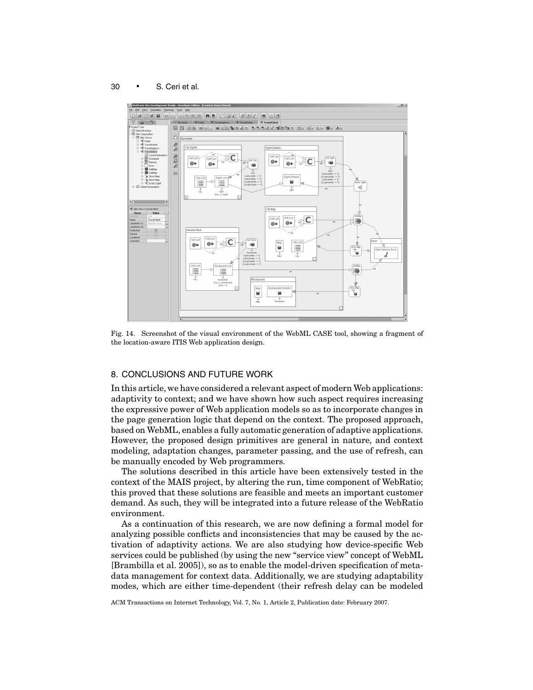

Fig. 14. Screenshot of the visual environment of the WebML CASE tool, showing a fragment of the location-aware ITIS Web application design.

# 8. CONCLUSIONS AND FUTURE WORK

In this article, we have considered a relevant aspect of modern Web applications: adaptivity to context; and we have shown how such aspect requires increasing the expressive power of Web application models so as to incorporate changes in the page generation logic that depend on the context. The proposed approach, based on WebML, enables a fully automatic generation of adaptive applications. However, the proposed design primitives are general in nature, and context modeling, adaptation changes, parameter passing, and the use of refresh, can be manually encoded by Web programmers.

The solutions described in this article have been extensively tested in the context of the MAIS project, by altering the run, time component of WebRatio; this proved that these solutions are feasible and meets an important customer demand. As such, they will be integrated into a future release of the WebRatio environment.

As a continuation of this research, we are now defining a formal model for analyzing possible conflicts and inconsistencies that may be caused by the activation of adaptivity actions. We are also studying how device-specific Web services could be published (by using the new "service view" concept of WebML [Brambilla et al. 2005]), so as to enable the model-driven specification of metadata management for context data. Additionally, we are studying adaptability modes, which are either time-dependent (their refresh delay can be modeled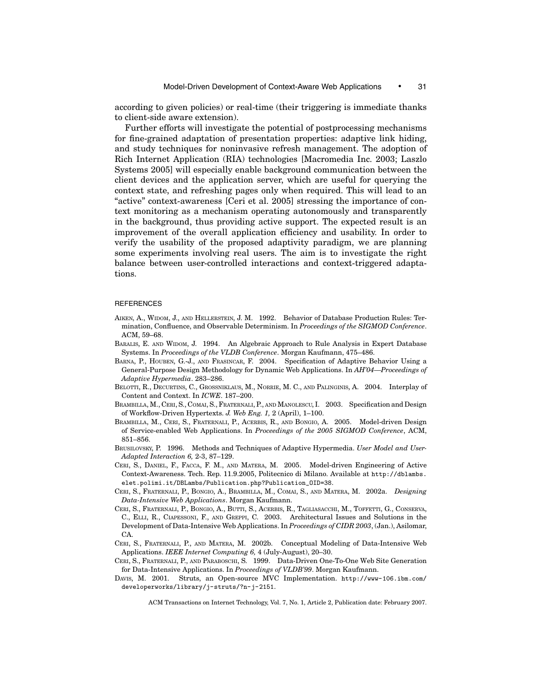according to given policies) or real-time (their triggering is immediate thanks to client-side aware extension).

Further efforts will investigate the potential of postprocessing mechanisms for fine-grained adaptation of presentation properties: adaptive link hiding, and study techniques for noninvasive refresh management. The adoption of Rich Internet Application (RIA) technologies [Macromedia Inc. 2003; Laszlo Systems 2005] will especially enable background communication between the client devices and the application server, which are useful for querying the context state, and refreshing pages only when required. This will lead to an "active" context-awareness [Ceri et al. 2005] stressing the importance of context monitoring as a mechanism operating autonomously and transparently in the background, thus providing active support. The expected result is an improvement of the overall application efficiency and usability. In order to verify the usability of the proposed adaptivity paradigm, we are planning some experiments involving real users. The aim is to investigate the right balance between user-controlled interactions and context-triggered adaptations.

#### **REFERENCES**

- AIKEN, A., WIDOM, J., AND HELLERSTEIN, J. M. 1992. Behavior of Database Production Rules: Termination, Confluence, and Observable Determinism. In *Proceedings of the SIGMOD Conference*. ACM, 59–68.
- BARALIS, E. AND WIDOM, J. 1994. An Algebraic Approach to Rule Analysis in Expert Database Systems. In *Proceedings of the VLDB Conference*. Morgan Kaufmann, 475–486.
- BARNA, P., HOUBEN, G.-J., AND FRASINCAR, F. 2004. Specification of Adaptive Behavior Using a General-Purpose Design Methodology for Dynamic Web Applications. In *AH'04—Proceedings of Adaptive Hypermedia*. 283–286.
- BELOTTI, R., DECURTINS, C., GROSSNIKLAUS, M., NORRIE, M. C., AND PALINGINIS, A. 2004. Interplay of Content and Context. In *ICWE*. 187–200.
- BRAMBILLA, M., CERI, S., COMAI, S., FRATERNALI, P., AND MANOLESCU, I. 2003. Specification and Design of Workflow-Driven Hypertexts. *J. Web Eng. 1,* 2 (April), 1–100.
- BRAMBILLA, M., CERI, S., FRATERNALI, P., ACERBIS, R., AND BONGIO, A. 2005. Model-driven Design of Service-enabled Web Applications. In *Proceedings of the 2005 SIGMOD Conference*, ACM, 851–856.
- BRUSILOVSKY, P. 1996. Methods and Techniques of Adaptive Hypermedia. *User Model and User-Adapted Interaction 6,* 2-3, 87–129.
- CERI, S., DANIEL, F., FACCA, F. M., AND MATERA, M. 2005. Model-driven Engineering of Active Context-Awareness. Tech. Rep. 11.9.2005, Politecnico di Milano. Available at http://dblambs. elet.polimi.it/DBLambs/Publication.php?Publication\_OID=38.
- CERI, S., FRATERNALI, P., BONGIO, A., BRAMBILLA, M., COMAI, S., AND MATERA, M. 2002a. *Designing Data-Intensive Web Applications*. Morgan Kaufmann.
- CERI, S., FRATERNALI, P., BONGIO, A., BUTTI, S., ACERBIS, R., TAGLIASACCHI, M., TOFFETTI, G., CONSERVA, C., ELLI, R., CIAPESSONI, F., AND GREPPI, C. 2003. Architectural Issues and Solutions in the Development of Data-Intensive Web Applications. In *Proceedings of CIDR 2003*, (Jan.), Asilomar, CA.
- CERI, S., FRATERNALI, P., AND MATERA, M. 2002b. Conceptual Modeling of Data-Intensive Web Applications. *IEEE Internet Computing 6,* 4 (July-August), 20–30.
- CERI, S., FRATERNALI, P., AND PARABOSCHI, S. 1999. Data-Driven One-To-One Web Site Generation for Data-Intensive Applications. In *Proceedings of VLDB'99*. Morgan Kaufmann.
- DAVIS, M. 2001. Struts, an Open-source MVC Implementation. http://www-106.ibm.com/ developerworks/library/j-struts/?n-j-2151.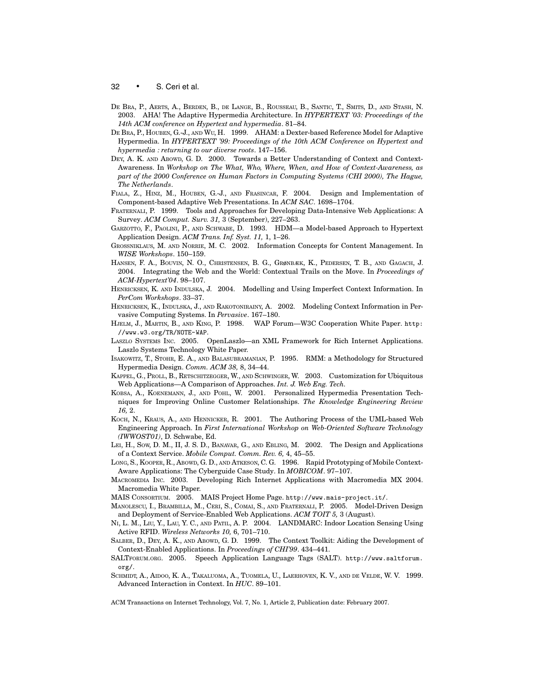- DE BRA, P., AERTS, A., BERDEN, B., DE LANGE, B., ROUSSEAU, B., SANTIC, T., SMITS, D., AND STASH, N. 2003. AHA! The Adaptive Hypermedia Architecture. In *HYPERTEXT '03: Proceedings of the 14th ACM conference on Hypertext and hypermedia*. 81–84.
- DE BRA, P., HOUBEN, G.-J., AND WU, H. 1999. AHAM: a Dexter-based Reference Model for Adaptive Hypermedia. In *HYPERTEXT '99: Proceedings of the 10th ACM Conference on Hypertext and hypermedia : returning to our diverse roots*. 147–156.
- DEY, A. K. AND ABOWD, G. D. 2000. Towards a Better Understanding of Context and Context-Awareness. In *Workshop on The What, Who, Where, When, and How of Context-Awareness, as part of the 2000 Conference on Human Factors in Computing Systems (CHI 2000), The Hague, The Netherlands*.
- FIALA, Z., HINZ, M., HOUBEN, G.-J., AND FRASINCAR, F. 2004. Design and Implementation of Component-based Adaptive Web Presentations. In *ACM SAC*. 1698–1704.

FRATERNALI, P. 1999. Tools and Approaches for Developing Data-Intensive Web Applications: A Survey. *ACM Comput. Surv. 31,* 3 (September), 227–263.

- GARZOTTO, F., PAOLINI, P., AND SCHWABE, D. 1993. HDM—a Model-based Approach to Hypertext Application Design. *ACM Trans. Inf. Syst. 11,* 1, 1–26.
- GROSSNIKLAUS, M. AND NORRIE, M. C. 2002. Information Concepts for Content Management. In *WISE Workshops*. 150–159.
- HANSEN, F. A., BOUVIN, N. O., CHRISTENSEN, B. G., GRøNB**Æ**K, K., PEDERSEN, T. B., AND GAGACH, J. 2004. Integrating the Web and the World: Contextual Trails on the Move. In *Proceedings of ACM-Hypertext'04*. 98–107.
- HENRICKSEN, K. AND INDULSKA, J. 2004. Modelling and Using Imperfect Context Information. In *PerCom Workshops*. 33–37.
- HENRICKSEN, K., INDULSKA, J., AND RAKOTONIRAINY, A. 2002. Modeling Context Information in Pervasive Computing Systems. In *Pervasive*. 167–180.
- HJELM, J., MARTIN, B., AND KING, P. 1998. WAP Forum—W3C Cooperation White Paper. http: //www.w3.org/TR/NOTE-WAP.
- LASZLO SYSTEMS INC. 2005. OpenLaszlo—an XML Framework for Rich Internet Applications. Laszlo Systems Technology White Paper.
- ISAKOWITZ, T., STOHR, E. A., AND BALASUBRAMANIAN, P. 1995. RMM: a Methodology for Structured Hypermedia Design. *Comm. ACM 38,* 8, 34–44.
- KAPPEL, G., PROLL, B., RETSCHITZEGGER, W., AND SCHWINGER, W. 2003. Customization for Ubiquitous Web Applications—A Comparison of Approaches. *Int. J. Web Eng. Tech.*
- KOBSA, A., KOENEMANN, J., AND POHL, W. 2001. Personalized Hypermedia Presentation Techniques for Improving Online Customer Relationships. *The Knowledge Engineering Review 16,* 2.
- KOCH, N., KRAUS, A., AND HENNICKER, R. 2001. The Authoring Process of the UML-based Web Engineering Approach. In *First International Workshop on Web-Oriented Software Technology (IWWOST01)*, D. Schwabe, Ed.
- LEI, H., SOW, D. M., II, J. S. D., BANAVAR, G., AND EBLING, M. 2002. The Design and Applications of a Context Service. *Mobile Comput. Comm. Rev. 6,* 4, 45–55.
- LONG, S., KOOPER, R., ABOWD, G. D., AND ATKESON, C. G. 1996. Rapid Prototyping of Mobile Context-Aware Applications: The Cyberguide Case Study. In *MOBICOM*. 97–107.
- MACROMEDIA INC. 2003. Developing Rich Internet Applications with Macromedia MX 2004. Macromedia White Paper.
- MAIS CONSORTIUM. 2005. MAIS Project Home Page. http://www.mais-project.it/.
- MANOLESCU, I., BRAMBILLA, M., CERI, S., COMAI, S., AND FRATERNALI, P. 2005. Model-Driven Design and Deployment of Service-Enabled Web Applications. *ACM TOIT 5,* 3 (August).
- NI, L. M., LIU, Y., LAU, Y. C., AND PATIL, A. P. 2004. LANDMARC: Indoor Location Sensing Using Active RFID. *Wireless Networks 10,* 6, 701–710.
- SALBER, D., DEY, A. K., AND ABOWD, G. D. 1999. The Context Toolkit: Aiding the Development of Context-Enabled Applications. In *Proceedings of CHI'99*. 434–441.
- SALTFORUM.ORG. 2005. Speech Application Language Tags (SALT). http://www.saltforum. org/.
- SCHMIDT, A., AIDOO, K. A., TAKALUOMA, A., TUOMELA, U., LAERHOVEN, K. V., AND DE VELDE, W. V. 1999. Advanced Interaction in Context. In *HUC*. 89–101.